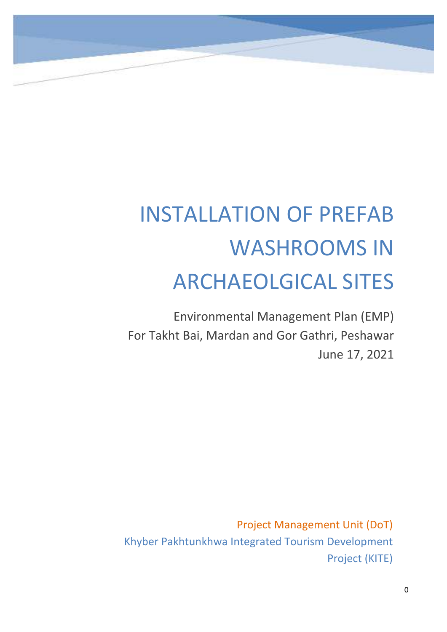

# INSTALLATION OF PREFAB WASHROOMS IN ARCHAEOLGICAL SITES

Environmental Management Plan (EMP) For Takht Bai, Mardan and Gor Gathri, Peshawar June 17, 2021

Project Management Unit (DoT) Khyber Pakhtunkhwa Integrated Tourism Development Project (KITE)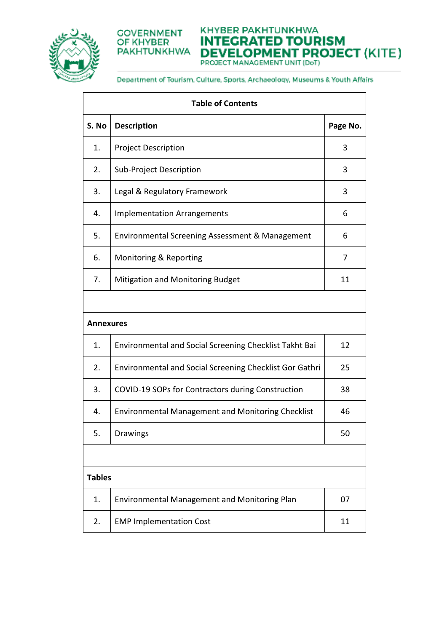



KHYBER PAKHTUNKHWA **INTEGRATED TOURISM DEVELOPMENT PROJECT (KITE)** PROJECT MANAGEMENT UNIT (DoT)

| <b>Table of Contents</b> |                                                                |          |  |  |  |  |
|--------------------------|----------------------------------------------------------------|----------|--|--|--|--|
| S. No                    | <b>Description</b>                                             | Page No. |  |  |  |  |
| 1.                       | <b>Project Description</b>                                     | 3        |  |  |  |  |
| 2.                       | Sub-Project Description                                        | 3        |  |  |  |  |
| 3.                       | Legal & Regulatory Framework                                   | 3        |  |  |  |  |
| 4.                       | <b>Implementation Arrangements</b>                             | 6        |  |  |  |  |
| 5.                       | Environmental Screening Assessment & Management                | 6        |  |  |  |  |
| 6.                       | Monitoring & Reporting                                         | 7        |  |  |  |  |
| 7.                       | <b>Mitigation and Monitoring Budget</b>                        | 11       |  |  |  |  |
|                          |                                                                |          |  |  |  |  |
| <b>Annexures</b>         |                                                                |          |  |  |  |  |
| 1.                       | Environmental and Social Screening Checklist Takht Bai         | 12       |  |  |  |  |
| 2.                       | <b>Environmental and Social Screening Checklist Gor Gathri</b> | 25       |  |  |  |  |
| 3.                       | COVID-19 SOPs for Contractors during Construction              | 38       |  |  |  |  |
| 4.                       | <b>Environmental Management and Monitoring Checklist</b>       | 46       |  |  |  |  |
| 5.                       | Drawings                                                       | 50       |  |  |  |  |
|                          |                                                                |          |  |  |  |  |
| <b>Tables</b>            |                                                                |          |  |  |  |  |
| 1.                       | Environmental Management and Monitoring Plan                   | 07       |  |  |  |  |
| 2.                       | <b>EMP Implementation Cost</b>                                 | 11       |  |  |  |  |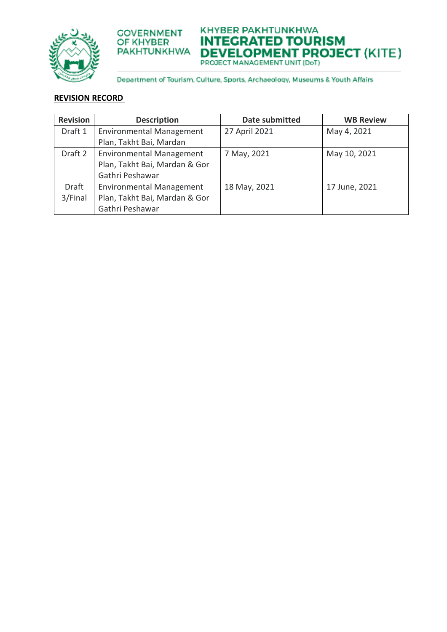



KHYBER PAKHTUNKHWA **INTEGRATED TOURISM DEVELOPMENT PROJECT (KITE)** 

Department of Tourism, Culture, Sports, Archaeology, Museums & Youth Affairs

# **REVISION RECORD**

| <b>Revision</b> | <b>Description</b>              | <b>Date submitted</b> | <b>WB Review</b> |
|-----------------|---------------------------------|-----------------------|------------------|
| Draft 1         | <b>Environmental Management</b> | 27 April 2021         | May 4, 2021      |
|                 | Plan, Takht Bai, Mardan         |                       |                  |
| Draft 2         | <b>Environmental Management</b> | 7 May, 2021           | May 10, 2021     |
|                 | Plan, Takht Bai, Mardan & Gor   |                       |                  |
|                 | Gathri Peshawar                 |                       |                  |
| <b>Draft</b>    | <b>Environmental Management</b> | 18 May, 2021          | 17 June, 2021    |
| 3/Final         | Plan, Takht Bai, Mardan & Gor   |                       |                  |
|                 | Gathri Peshawar                 |                       |                  |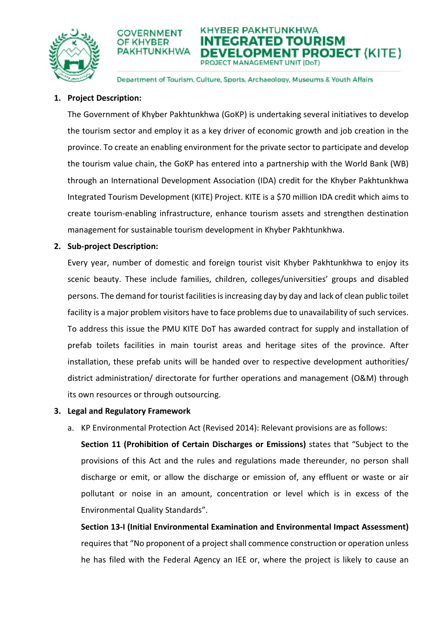



Department of Tourism, Culture, Sports, Archaeology, Museums & Youth Affairs

# **1. Project Description:**

The Government of Khyber Pakhtunkhwa (GoKP) is undertaking several initiatives to develop the tourism sector and employ it as a key driver of economic growth and job creation in the province. To create an enabling environment for the private sector to participate and develop the tourism value chain, the GoKP has entered into a partnership with the World Bank (WB) through an International Development Association (IDA) credit for the Khyber Pakhtunkhwa Integrated Tourism Development (KITE) Project. KITE is a \$70 million IDA credit which aims to create tourism-enabling infrastructure, enhance tourism assets and strengthen destination management for sustainable tourism development in Khyber Pakhtunkhwa.

# **2. Sub-project Description:**

Every year, number of domestic and foreign tourist visit Khyber Pakhtunkhwa to enjoy its scenic beauty. These include families, children, colleges/universities' groups and disabled persons. The demand for tourist facilities is increasing day by day and lack of clean public toilet facility is a major problem visitors have to face problems due to unavailability of such services. To address this issue the PMU KITE DoT has awarded contract for supply and installation of prefab toilets facilities in main tourist areas and heritage sites of the province. After installation, these prefab units will be handed over to respective development authorities/ district administration/ directorate for further operations and management (O&M) through its own resources or through outsourcing.

## **3. Legal and Regulatory Framework**

a. KP Environmental Protection Act (Revised 2014): Relevant provisions are as follows:

**Section 11 (Prohibition of Certain Discharges or Emissions)** states that "Subject to the provisions of this Act and the rules and regulations made thereunder, no person shall discharge or emit, or allow the discharge or emission of, any effluent or waste or air pollutant or noise in an amount, concentration or level which is in excess of the Environmental Quality Standards".

**Section 13-I (Initial Environmental Examination and Environmental Impact Assessment)**  requires that "No proponent of a project shall commence construction or operation unless he has filed with the Federal Agency an IEE or, where the project is likely to cause an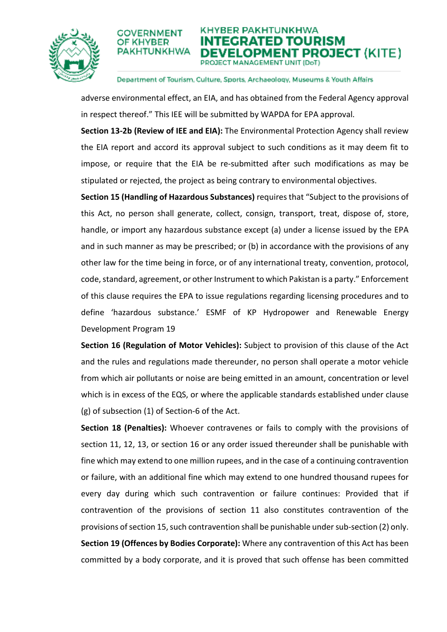



#### Department of Tourism, Culture, Sports, Archaeology, Museums & Youth Affairs

adverse environmental effect, an EIA, and has obtained from the Federal Agency approval in respect thereof." This IEE will be submitted by WAPDA for EPA approval.

**Section 13-2b (Review of IEE and EIA):** The Environmental Protection Agency shall review the EIA report and accord its approval subject to such conditions as it may deem fit to impose, or require that the EIA be re-submitted after such modifications as may be stipulated or rejected, the project as being contrary to environmental objectives.

**Section 15 (Handling of Hazardous Substances)** requires that "Subject to the provisions of this Act, no person shall generate, collect, consign, transport, treat, dispose of, store, handle, or import any hazardous substance except (a) under a license issued by the EPA and in such manner as may be prescribed; or (b) in accordance with the provisions of any other law for the time being in force, or of any international treaty, convention, protocol, code, standard, agreement, or other Instrument to which Pakistan is a party." Enforcement of this clause requires the EPA to issue regulations regarding licensing procedures and to define 'hazardous substance.' ESMF of KP Hydropower and Renewable Energy Development Program 19

**Section 16 (Regulation of Motor Vehicles):** Subject to provision of this clause of the Act and the rules and regulations made thereunder, no person shall operate a motor vehicle from which air pollutants or noise are being emitted in an amount, concentration or level which is in excess of the EQS, or where the applicable standards established under clause (g) of subsection (1) of Section-6 of the Act.

**Section 18 (Penalties):** Whoever contravenes or fails to comply with the provisions of section 11, 12, 13, or section 16 or any order issued thereunder shall be punishable with fine which may extend to one million rupees, and in the case of a continuing contravention or failure, with an additional fine which may extend to one hundred thousand rupees for every day during which such contravention or failure continues: Provided that if contravention of the provisions of section 11 also constitutes contravention of the provisions of section 15, such contravention shall be punishable under sub-section (2) only. **Section 19 (Offences by Bodies Corporate):** Where any contravention of this Act has been committed by a body corporate, and it is proved that such offense has been committed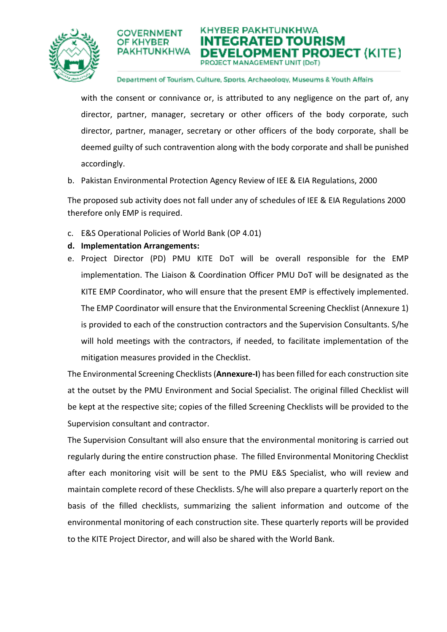



#### Department of Tourism, Culture, Sports, Archaeology, Museums & Youth Affairs

with the consent or connivance or, is attributed to any negligence on the part of, any director, partner, manager, secretary or other officers of the body corporate, such director, partner, manager, secretary or other officers of the body corporate, shall be deemed guilty of such contravention along with the body corporate and shall be punished accordingly.

b. Pakistan Environmental Protection Agency Review of IEE & EIA Regulations, 2000

The proposed sub activity does not fall under any of schedules of IEE & EIA Regulations 2000 therefore only EMP is required.

- c. E&S Operational Policies of World Bank (OP 4.01)
- **d. Implementation Arrangements:**

OF KHYBER

e. Project Director (PD) PMU KITE DoT will be overall responsible for the EMP implementation. The Liaison & Coordination Officer PMU DoT will be designated as the KITE EMP Coordinator, who will ensure that the present EMP is effectively implemented. The EMP Coordinator will ensure that the Environmental Screening Checklist (Annexure 1) is provided to each of the construction contractors and the Supervision Consultants. S/he will hold meetings with the contractors, if needed, to facilitate implementation of the mitigation measures provided in the Checklist.

The Environmental Screening Checklists (**Annexure-I**) has been filled for each construction site at the outset by the PMU Environment and Social Specialist. The original filled Checklist will be kept at the respective site; copies of the filled Screening Checklists will be provided to the Supervision consultant and contractor.

The Supervision Consultant will also ensure that the environmental monitoring is carried out regularly during the entire construction phase. The filled Environmental Monitoring Checklist after each monitoring visit will be sent to the PMU E&S Specialist, who will review and maintain complete record of these Checklists. S/he will also prepare a quarterly report on the basis of the filled checklists, summarizing the salient information and outcome of the environmental monitoring of each construction site. These quarterly reports will be provided to the KITE Project Director, and will also be shared with the World Bank.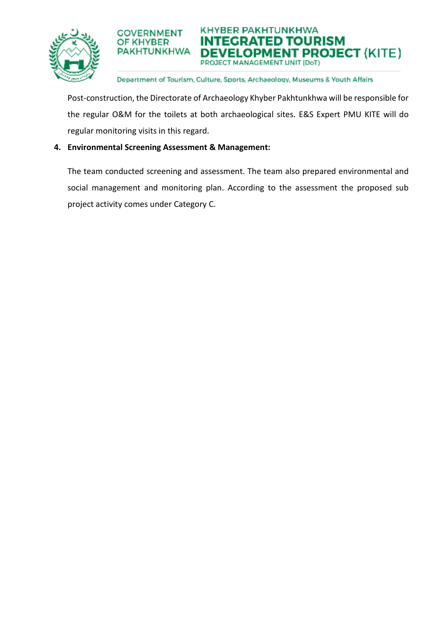



# Department of Tourism, Culture, Sports, Archaeology, Museums & Youth Affairs

Post-construction, the Directorate of Archaeology Khyber Pakhtunkhwa will be responsible for the regular O&M for the toilets at both archaeological sites. E&S Expert PMU KITE will do regular monitoring visits in this regard.

# **4. Environmental Screening Assessment & Management:**

The team conducted screening and assessment. The team also prepared environmental and social management and monitoring plan. According to the assessment the proposed sub project activity comes under Category C.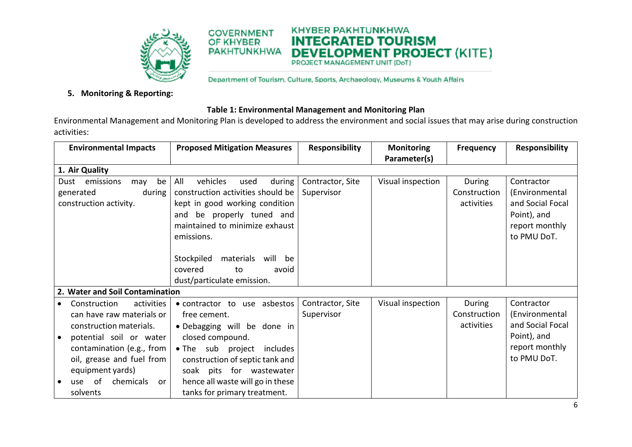

**COVERNMENT** 

**PAKHTUNKHWA** 

OF KHYBER

Department of Tourism. Culture, Sports, Archaeology, Museums & Youth Affairs

**KHYBER PAKHTUNKHWA** 

**INTEGRATED TOURISM** 

**DEVELOPMENT PROJECT (KITE)** 

# **5. Monitoring & Reporting:**

## **Table 1: Environmental Management and Monitoring Plan**

Environmental Management and Monitoring Plan is developed to address the environment and social issues that may arise during construction activities:

| <b>Environmental Impacts</b>                                 | <b>Proposed Mitigation Measures</b> | <b>Responsibility</b> | <b>Monitoring</b> | <b>Frequency</b> | <b>Responsibility</b> |
|--------------------------------------------------------------|-------------------------------------|-----------------------|-------------------|------------------|-----------------------|
|                                                              |                                     |                       | Parameter(s)      |                  |                       |
| 1. Air Quality                                               |                                     |                       |                   |                  |                       |
| emissions<br>be<br>Dust<br>may                               | All<br>vehicles<br>used<br>during   | Contractor, Site      | Visual inspection | During           | Contractor            |
| generated<br>during                                          | construction activities should be   | Supervisor            |                   | Construction     | (Environmental        |
| construction activity.                                       | kept in good working condition      |                       |                   | activities       | and Social Focal      |
|                                                              | and be properly tuned and           |                       |                   |                  | Point), and           |
|                                                              | maintained to minimize exhaust      |                       |                   |                  | report monthly        |
|                                                              | emissions.                          |                       |                   |                  | to PMU DoT.           |
|                                                              |                                     |                       |                   |                  |                       |
|                                                              | Stockpiled<br>materials<br>will be  |                       |                   |                  |                       |
|                                                              | covered<br>to<br>avoid              |                       |                   |                  |                       |
|                                                              |                                     |                       |                   |                  |                       |
|                                                              | dust/particulate emission.          |                       |                   |                  |                       |
| 2. Water and Soil Contamination                              |                                     |                       |                   |                  |                       |
| Construction<br>activities<br>$\bullet$                      | • contractor to use asbestos        | Contractor, Site      | Visual inspection | During           | Contractor            |
| can have raw materials or                                    | free cement.                        | Supervisor            |                   | Construction     | (Environmental        |
| construction materials.                                      | · Debagging will be done in         |                       |                   | activities       | and Social Focal      |
| potential soil or water<br>$\bullet$                         | closed compound.                    |                       |                   |                  | Point), and           |
| contamination (e.g., from                                    | • The sub project<br>includes       |                       |                   |                  | report monthly        |
| oil, grease and fuel from<br>construction of septic tank and |                                     |                       |                   |                  | to PMU DoT.           |
| equipment yards)<br>soak pits for wastewater                 |                                     |                       |                   |                  |                       |
| - of<br>chemicals<br>use<br>or<br>$\bullet$                  | hence all waste will go in these    |                       |                   |                  |                       |
| solvents                                                     | tanks for primary treatment.        |                       |                   |                  |                       |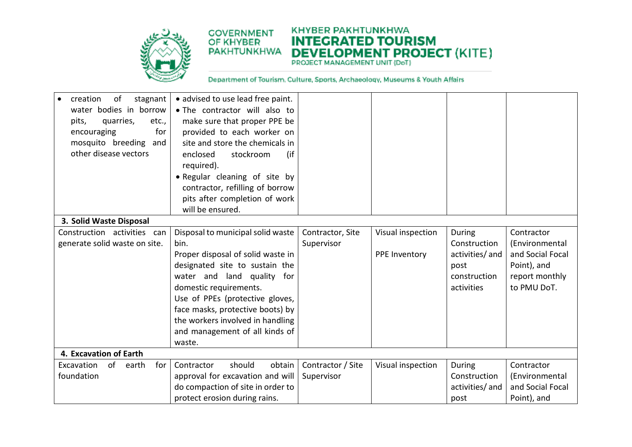

#### **KHYBER PAKHTUNKHWA COVERNMENT INTEGRATED TOURISM DEVELOPMENT PROJECT (KITE) PAKHTUNKHWA**

| creation<br>stagnant<br>οf<br>water bodies in borrow<br>pits,<br>quarries,<br>etc.,<br>encouraging<br>for<br>mosquito breeding<br>and<br>other disease vectors | • advised to use lead free paint.<br>. The contractor will also to<br>make sure that proper PPE be<br>provided to each worker on<br>site and store the chemicals in<br>(if)<br>enclosed<br>stockroom<br>required).<br>• Regular cleaning of site by<br>contractor, refilling of borrow<br>pits after completion of work<br>will be ensured. |                   |                   |                 |                  |
|----------------------------------------------------------------------------------------------------------------------------------------------------------------|---------------------------------------------------------------------------------------------------------------------------------------------------------------------------------------------------------------------------------------------------------------------------------------------------------------------------------------------|-------------------|-------------------|-----------------|------------------|
| 3. Solid Waste Disposal                                                                                                                                        |                                                                                                                                                                                                                                                                                                                                             |                   |                   |                 |                  |
| Construction activities can                                                                                                                                    | Disposal to municipal solid waste                                                                                                                                                                                                                                                                                                           | Contractor, Site  | Visual inspection | During          | Contractor       |
| generate solid waste on site.                                                                                                                                  | bin.                                                                                                                                                                                                                                                                                                                                        | Supervisor        |                   | Construction    | (Environmental   |
|                                                                                                                                                                | Proper disposal of solid waste in                                                                                                                                                                                                                                                                                                           |                   | PPE Inventory     | activities/ and | and Social Focal |
|                                                                                                                                                                | designated site to sustain the                                                                                                                                                                                                                                                                                                              |                   |                   | post            | Point), and      |
|                                                                                                                                                                | water and land quality for                                                                                                                                                                                                                                                                                                                  |                   |                   | construction    | report monthly   |
|                                                                                                                                                                | domestic requirements.                                                                                                                                                                                                                                                                                                                      |                   |                   | activities      | to PMU DoT.      |
|                                                                                                                                                                | Use of PPEs (protective gloves,                                                                                                                                                                                                                                                                                                             |                   |                   |                 |                  |
|                                                                                                                                                                | face masks, protective boots) by                                                                                                                                                                                                                                                                                                            |                   |                   |                 |                  |
|                                                                                                                                                                | the workers involved in handling                                                                                                                                                                                                                                                                                                            |                   |                   |                 |                  |
|                                                                                                                                                                | and management of all kinds of                                                                                                                                                                                                                                                                                                              |                   |                   |                 |                  |
|                                                                                                                                                                | waste.                                                                                                                                                                                                                                                                                                                                      |                   |                   |                 |                  |
| 4. Excavation of Earth                                                                                                                                         |                                                                                                                                                                                                                                                                                                                                             |                   |                   |                 |                  |
| Excavation<br>of<br>earth<br>for                                                                                                                               | should<br>obtain<br>Contractor                                                                                                                                                                                                                                                                                                              | Contractor / Site | Visual inspection | During          | Contractor       |
| foundation                                                                                                                                                     | approval for excavation and will                                                                                                                                                                                                                                                                                                            | Supervisor        |                   | Construction    | (Environmental   |
|                                                                                                                                                                | do compaction of site in order to                                                                                                                                                                                                                                                                                                           |                   |                   | activities/ and | and Social Focal |
|                                                                                                                                                                | protect erosion during rains.                                                                                                                                                                                                                                                                                                               |                   |                   | post            | Point), and      |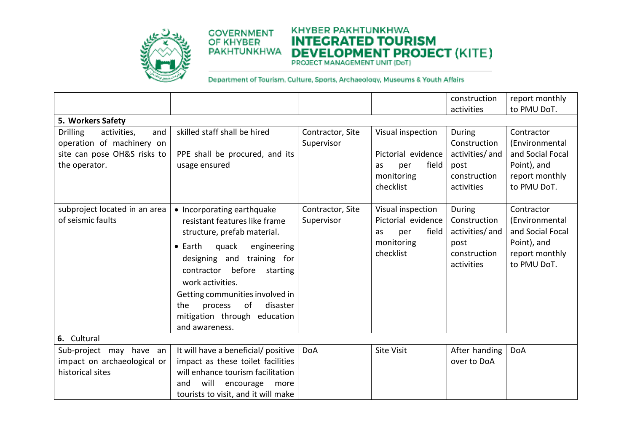

#### **KHYBER PAKHTUNKHWA COVERNMENT INTEGRATED TOURISM DEVELOPMENT PROJECT (KITE) PAKHTUNKHWA**

|                                                                                                                    |                                                                                                                                                                                                                                                                                                                                                      |                                |                                                                                          | construction<br>activities                                                      | report monthly<br>to PMU DoT.                                                                    |
|--------------------------------------------------------------------------------------------------------------------|------------------------------------------------------------------------------------------------------------------------------------------------------------------------------------------------------------------------------------------------------------------------------------------------------------------------------------------------------|--------------------------------|------------------------------------------------------------------------------------------|---------------------------------------------------------------------------------|--------------------------------------------------------------------------------------------------|
| 5. Workers Safety                                                                                                  |                                                                                                                                                                                                                                                                                                                                                      |                                |                                                                                          |                                                                                 |                                                                                                  |
| <b>Drilling</b><br>activities,<br>and<br>operation of machinery on<br>site can pose OH&S risks to<br>the operator. | skilled staff shall be hired<br>PPE shall be procured, and its<br>usage ensured                                                                                                                                                                                                                                                                      | Contractor, Site<br>Supervisor | Visual inspection<br>Pictorial evidence<br>field<br>per<br>as<br>monitoring<br>checklist | During<br>Construction<br>activities/ and<br>post<br>construction<br>activities | Contractor<br>(Environmental<br>and Social Focal<br>Point), and<br>report monthly<br>to PMU DoT. |
| subproject located in an area<br>of seismic faults                                                                 | • Incorporating earthquake<br>resistant features like frame<br>structure, prefab material.<br>engineering<br>$\bullet$ Earth<br>quack<br>designing and training for<br>before<br>contractor<br>starting<br>work activities.<br>Getting communities involved in<br>of<br>disaster<br>process<br>the<br>mitigation through education<br>and awareness. | Contractor, Site<br>Supervisor | Visual inspection<br>Pictorial evidence<br>field<br>per<br>as<br>monitoring<br>checklist | During<br>Construction<br>activities/ and<br>post<br>construction<br>activities | Contractor<br>(Environmental<br>and Social Focal<br>Point), and<br>report monthly<br>to PMU DoT. |
| 6. Cultural                                                                                                        |                                                                                                                                                                                                                                                                                                                                                      |                                |                                                                                          |                                                                                 |                                                                                                  |
| Sub-project may have an<br>impact on archaeological or<br>historical sites                                         | It will have a beneficial/ positive<br>impact as these toilet facilities<br>will enhance tourism facilitation<br>will<br>encourage<br>and<br>more<br>tourists to visit, and it will make                                                                                                                                                             | <b>DoA</b>                     | <b>Site Visit</b>                                                                        | After handing<br>over to DoA                                                    | <b>DoA</b>                                                                                       |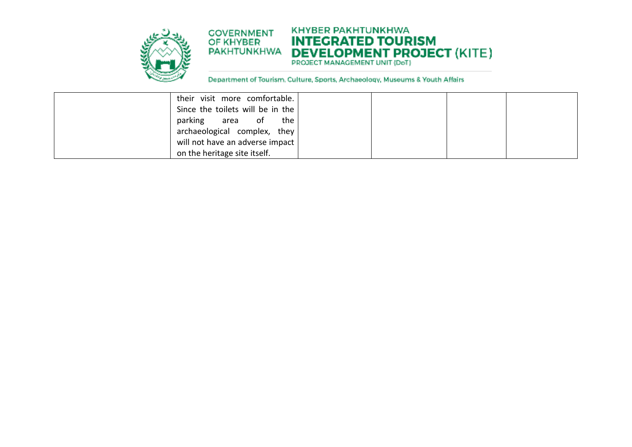

#### **KHYBER PAKHTUNKHWA COVERNMENT INTEGRATED TOURISM DEVELOPMENT PROJECT (KITE) PAKHTUNKHWA**

| their visit more comfortable.    |  |  |
|----------------------------------|--|--|
| Since the toilets will be in the |  |  |
| parking area of the              |  |  |
| archaeological complex, they     |  |  |
| will not have an adverse impact  |  |  |
| on the heritage site itself.     |  |  |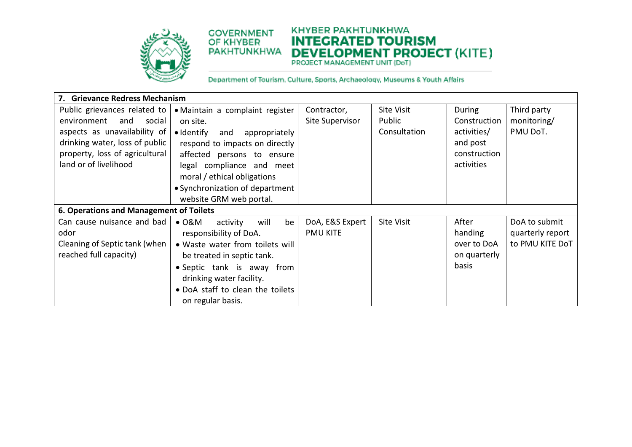

#### **KHYBER PAKHTUNKHWA COVERNMENT INTEGRATED TOURISM DEVELOPMENT PROJECT (KITE) PAKHTUNKHWA**

| 7. Grievance Redress Mechanism          |                                         |                 |                   |              |                  |  |  |
|-----------------------------------------|-----------------------------------------|-----------------|-------------------|--------------|------------------|--|--|
| Public grievances related to            | · Maintain a complaint register         | Contractor,     | Site Visit        | During       | Third party      |  |  |
| environment<br>and<br>social            | on site.                                | Site Supervisor | Public            | Construction | monitoring/      |  |  |
| aspects as unavailability of            | • Identify<br>and<br>appropriately      |                 | Consultation      | activities/  | PMU DoT.         |  |  |
| drinking water, loss of public          | respond to impacts on directly          |                 |                   | and post     |                  |  |  |
| property, loss of agricultural          | affected persons to ensure              |                 |                   | construction |                  |  |  |
| land or of livelihood                   | legal compliance and meet               |                 |                   | activities   |                  |  |  |
|                                         | moral / ethical obligations             |                 |                   |              |                  |  |  |
|                                         | • Synchronization of department         |                 |                   |              |                  |  |  |
|                                         | website GRM web portal.                 |                 |                   |              |                  |  |  |
| 6. Operations and Management of Toilets |                                         |                 |                   |              |                  |  |  |
| Can cause nuisance and bad              | be<br>$\bullet$ O&M<br>will<br>activity | DoA, E&S Expert | <b>Site Visit</b> | After        | DoA to submit    |  |  |
| odor                                    | responsibility of DoA.                  | <b>PMU KITE</b> |                   | handing      | quarterly report |  |  |
| Cleaning of Septic tank (when           | • Waste water from toilets will         |                 |                   | over to DoA  | to PMU KITE DoT  |  |  |
| reached full capacity)                  |                                         |                 | on quarterly      |              |                  |  |  |
|                                         |                                         |                 | basis             |              |                  |  |  |
|                                         | drinking water facility.                |                 |                   |              |                  |  |  |
|                                         | • DoA staff to clean the toilets        |                 |                   |              |                  |  |  |
|                                         | on regular basis.                       |                 |                   |              |                  |  |  |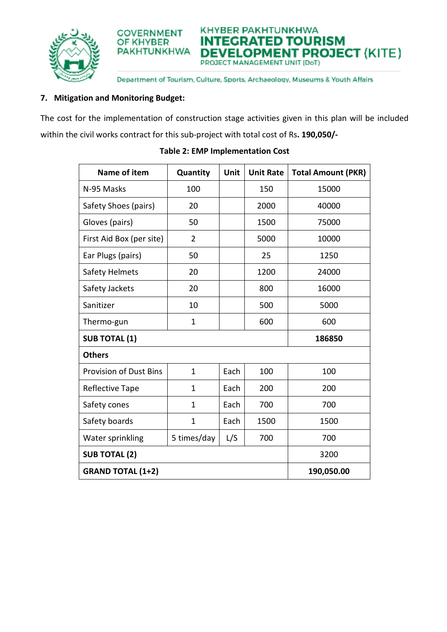



Department of Tourism, Culture, Sports, Archaeology, Museums & Youth Affairs

# **7. Mitigation and Monitoring Budget:**

The cost for the implementation of construction stage activities given in this plan will be included within the civil works contract for this sub-project with total cost of Rs**. 190,050/-**

| Name of item                  | Quantity       | Unit | <b>Unit Rate</b> | <b>Total Amount (PKR)</b> |
|-------------------------------|----------------|------|------------------|---------------------------|
| N-95 Masks                    | 100            |      | 150              | 15000                     |
| Safety Shoes (pairs)          | 20             |      | 2000             | 40000                     |
| Gloves (pairs)                | 50             |      | 1500             | 75000                     |
| First Aid Box (per site)      | $\overline{2}$ |      | 5000             | 10000                     |
| Ear Plugs (pairs)             | 50             |      | 25               | 1250                      |
| Safety Helmets                | 20             |      | 1200             | 24000                     |
| Safety Jackets                | 20             |      | 800              | 16000                     |
| Sanitizer                     | 10             |      | 500              | 5000                      |
| Thermo-gun                    | $\mathbf{1}$   |      | 600              | 600                       |
| <b>SUB TOTAL (1)</b>          |                |      |                  | 186850                    |
| <b>Others</b>                 |                |      |                  |                           |
| <b>Provision of Dust Bins</b> | 1              | Each | 100              | 100                       |
| Reflective Tape               | 1              | Each | 200              | 200                       |
| Safety cones                  | $\mathbf 1$    | Each | 700              | 700                       |
| Safety boards                 | 1              | Each | 1500             | 1500                      |
| Water sprinkling              | 5 times/day    | L/S  | 700              | 700                       |
| <b>SUB TOTAL (2)</b>          | 3200           |      |                  |                           |
| <b>GRAND TOTAL (1+2)</b>      | 190,050.00     |      |                  |                           |

# **Table 2: EMP Implementation Cost**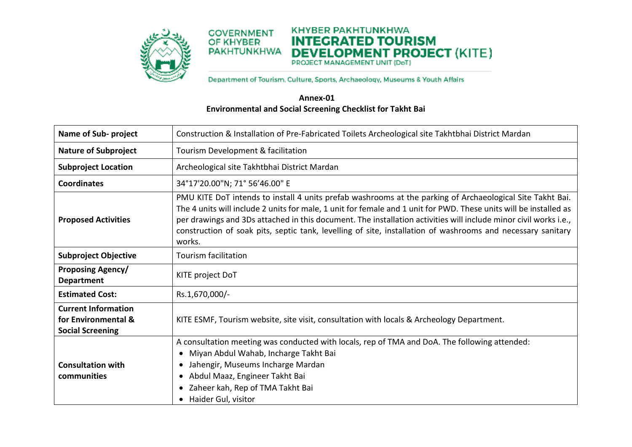

#### **KHYBER PAKHTUNKHWA COVERNMENT INTEGRATED TOURISM** OF KHYBER PAKHTUNKHWA **DEVELOPMENT PROJECT** (KITE)

Department of Tourism. Culture, Sports, Archaeology, Museums & Youth Affairs

# **Annex-01 Environmental and Social Screening Checklist for Takht Bai**

| <b>Name of Sub-project</b>                                                   | Construction & Installation of Pre-Fabricated Toilets Archeological site Takhtbhai District Mardan                                                                                                                                                                                                                                                                                                                                                                          |
|------------------------------------------------------------------------------|-----------------------------------------------------------------------------------------------------------------------------------------------------------------------------------------------------------------------------------------------------------------------------------------------------------------------------------------------------------------------------------------------------------------------------------------------------------------------------|
| <b>Nature of Subproject</b>                                                  | Tourism Development & facilitation                                                                                                                                                                                                                                                                                                                                                                                                                                          |
| <b>Subproject Location</b>                                                   | Archeological site Takhtbhai District Mardan                                                                                                                                                                                                                                                                                                                                                                                                                                |
| <b>Coordinates</b>                                                           | 34°17'20.00"N; 71° 56'46.00" E                                                                                                                                                                                                                                                                                                                                                                                                                                              |
| <b>Proposed Activities</b>                                                   | PMU KITE DoT intends to install 4 units prefab washrooms at the parking of Archaeological Site Takht Bai.<br>The 4 units will include 2 units for male, 1 unit for female and 1 unit for PWD. These units will be installed as<br>per drawings and 3Ds attached in this document. The installation activities will include minor civil works i.e.,<br>construction of soak pits, septic tank, levelling of site, installation of washrooms and necessary sanitary<br>works. |
| <b>Subproject Objective</b>                                                  | <b>Tourism facilitation</b>                                                                                                                                                                                                                                                                                                                                                                                                                                                 |
| <b>Proposing Agency/</b><br><b>Department</b>                                | KITE project DoT                                                                                                                                                                                                                                                                                                                                                                                                                                                            |
| <b>Estimated Cost:</b>                                                       | Rs.1,670,000/-                                                                                                                                                                                                                                                                                                                                                                                                                                                              |
| <b>Current Information</b><br>for Environmental &<br><b>Social Screening</b> | KITE ESMF, Tourism website, site visit, consultation with locals & Archeology Department.                                                                                                                                                                                                                                                                                                                                                                                   |
| <b>Consultation with</b><br>communities                                      | A consultation meeting was conducted with locals, rep of TMA and DoA. The following attended:<br>Miyan Abdul Wahab, Incharge Takht Bai<br>• Jahengir, Museums Incharge Mardan<br>• Abdul Maaz, Engineer Takht Bai<br>• Zaheer kah, Rep of TMA Takht Bai<br>• Haider Gul, visitor                                                                                                                                                                                            |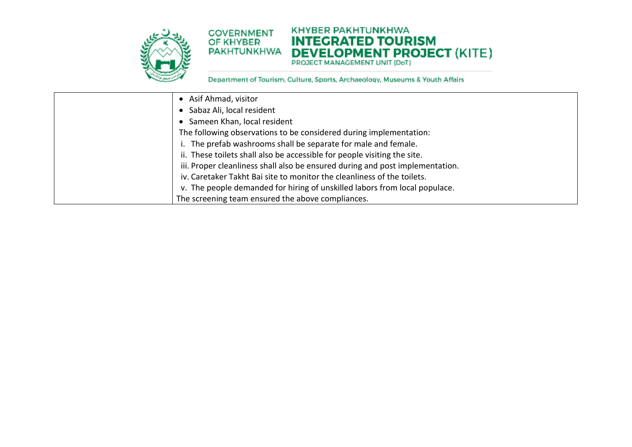

#### **KHYBER PAKHTUNKHWA COVERNMENT INTEGRATED TOURISM** OF KHYBER **DEVELOPMENT PROJECT (KITE) PAKHTUNKHWA**

| • Asif Ahmad, visitor                                                         |
|-------------------------------------------------------------------------------|
| • Sabaz Ali, local resident                                                   |
| Sameen Khan, local resident                                                   |
| The following observations to be considered during implementation:            |
| i. The prefab washrooms shall be separate for male and female.                |
| ii. These toilets shall also be accessible for people visiting the site.      |
| iii. Proper cleanliness shall also be ensured during and post implementation. |
| iv. Caretaker Takht Bai site to monitor the cleanliness of the toilets.       |
| v. The people demanded for hiring of unskilled labors from local populace.    |
| The screening team ensured the above compliances.                             |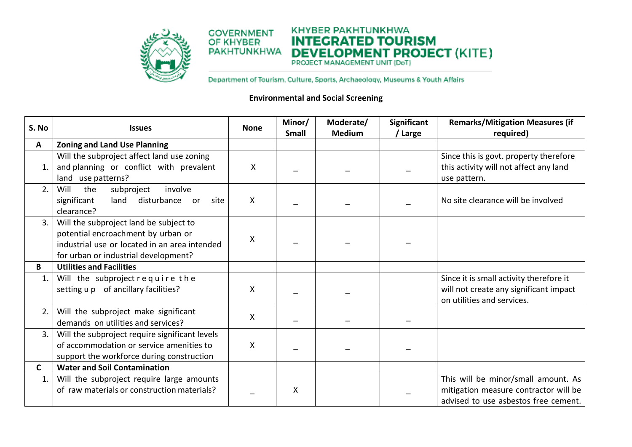

KHYBER PAKHTUNKHWA **COVERNMENT INTEGRATED TOURISM** OF KHYBER **DEVELOPMENT PROJECT (KITE) PAKHTUNKHWA** 

Department of Tourism. Culture, Sports, Archaeology, Museums & Youth Affairs

# **Environmental and Social Screening**

| S. No | <b>Issues</b>                                                                                                                                                         | <b>None</b> | Minor/<br><b>Small</b> | Moderate/<br><b>Medium</b> | Significant<br>/ Large | <b>Remarks/Mitigation Measures (if</b><br>required)                                                                  |
|-------|-----------------------------------------------------------------------------------------------------------------------------------------------------------------------|-------------|------------------------|----------------------------|------------------------|----------------------------------------------------------------------------------------------------------------------|
| A     | <b>Zoning and Land Use Planning</b>                                                                                                                                   |             |                        |                            |                        |                                                                                                                      |
| 1.    | Will the subproject affect land use zoning<br>and planning or conflict with prevalent<br>land use patterns?                                                           | X           |                        |                            |                        | Since this is govt. property therefore<br>this activity will not affect any land<br>use pattern.                     |
| 2.    | involve<br>Will<br>the<br>subproject<br>significant<br>land<br>disturbance<br>site<br>or<br>clearance?                                                                | X           |                        |                            |                        | No site clearance will be involved                                                                                   |
| 3.    | Will the subproject land be subject to<br>potential encroachment by urban or<br>industrial use or located in an area intended<br>for urban or industrial development? | X           |                        |                            |                        |                                                                                                                      |
| В     | <b>Utilities and Facilities</b>                                                                                                                                       |             |                        |                            |                        |                                                                                                                      |
| 1.    | Will the subproject require the<br>setting u p of ancillary facilities?                                                                                               | Χ           |                        |                            |                        | Since it is small activity therefore it<br>will not create any significant impact<br>on utilities and services.      |
| 2.    | Will the subproject make significant<br>demands on utilities and services?                                                                                            | X           |                        |                            |                        |                                                                                                                      |
| 3.    | Will the subproject require significant levels<br>of accommodation or service amenities to<br>support the workforce during construction                               | X           |                        |                            |                        |                                                                                                                      |
| C     | <b>Water and Soil Contamination</b>                                                                                                                                   |             |                        |                            |                        |                                                                                                                      |
| 1.    | Will the subproject require large amounts<br>of raw materials or construction materials?                                                                              |             | X                      |                            |                        | This will be minor/small amount. As<br>mitigation measure contractor will be<br>advised to use asbestos free cement. |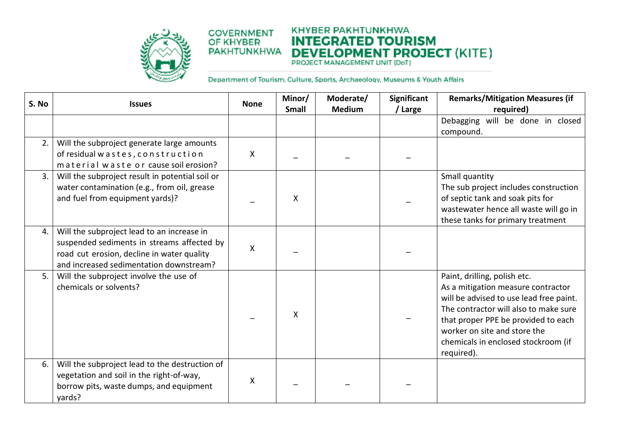

#### **KHYBER PAKHTUNKHWA COVERNMENT INTEGRATED TOURISM DEVELOPMENT PROJECT (KITE) PAKHTUNKHWA**

| S. No | <b>Issues</b>                                                                                                                                                                     | <b>None</b>  | Minor/<br><b>Small</b> | Moderate/<br><b>Medium</b> | Significant<br>/ Large | <b>Remarks/Mitigation Measures (if</b><br>required)                                                                                                                                                                                                                                |
|-------|-----------------------------------------------------------------------------------------------------------------------------------------------------------------------------------|--------------|------------------------|----------------------------|------------------------|------------------------------------------------------------------------------------------------------------------------------------------------------------------------------------------------------------------------------------------------------------------------------------|
|       |                                                                                                                                                                                   |              |                        |                            |                        | Debagging will be done in closed<br>compound.                                                                                                                                                                                                                                      |
| 2.    | Will the subproject generate large amounts<br>of residual wastes, construction<br>material waste or cause soil erosion?                                                           | $\mathsf{X}$ |                        |                            |                        |                                                                                                                                                                                                                                                                                    |
| 3.    | Will the subproject result in potential soil or<br>water contamination (e.g., from oil, grease<br>and fuel from equipment yards)?                                                 |              | X                      |                            |                        | Small quantity<br>The sub project includes construction<br>of septic tank and soak pits for<br>wastewater hence all waste will go in<br>these tanks for primary treatment                                                                                                          |
| 4.    | Will the subproject lead to an increase in<br>suspended sediments in streams affected by<br>road cut erosion, decline in water quality<br>and increased sedimentation downstream? | X            |                        |                            |                        |                                                                                                                                                                                                                                                                                    |
| 5.    | Will the subproject involve the use of<br>chemicals or solvents?                                                                                                                  |              | X                      |                            |                        | Paint, drilling, polish etc.<br>As a mitigation measure contractor<br>will be advised to use lead free paint.<br>The contractor will also to make sure<br>that proper PPE be provided to each<br>worker on site and store the<br>chemicals in enclosed stockroom (if<br>required). |
| 6.    | Will the subproject lead to the destruction of<br>vegetation and soil in the right-of-way,<br>borrow pits, waste dumps, and equipment<br>yards?                                   | X            |                        |                            |                        |                                                                                                                                                                                                                                                                                    |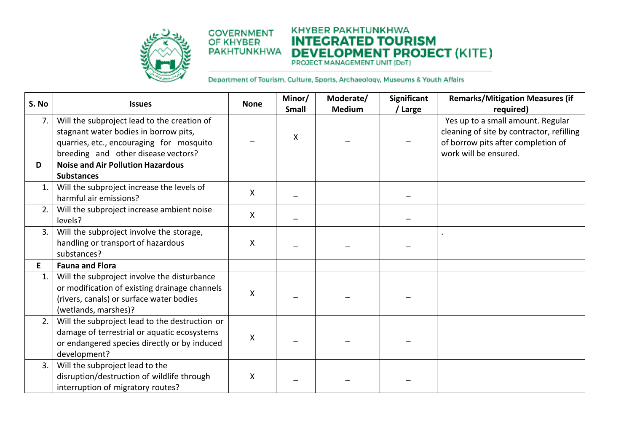

#### **KHYBER PAKHTUNKHWA COVERNMENT INTEGRATED TOURISM DEVELOPMENT PROJECT (KITE) PAKHTUNKHWA**

| S. No          | <b>Issues</b>                                                                                                                                                           | <b>None</b>        | Minor/<br>Small | Moderate/<br><b>Medium</b> | <b>Significant</b><br>/ Large | <b>Remarks/Mitigation Measures (if</b><br>required)                                                                                           |
|----------------|-------------------------------------------------------------------------------------------------------------------------------------------------------------------------|--------------------|-----------------|----------------------------|-------------------------------|-----------------------------------------------------------------------------------------------------------------------------------------------|
| 7.             | Will the subproject lead to the creation of<br>stagnant water bodies in borrow pits,<br>quarries, etc., encouraging for mosquito<br>breeding and other disease vectors? |                    | X               |                            |                               | Yes up to a small amount. Regular<br>cleaning of site by contractor, refilling<br>of borrow pits after completion of<br>work will be ensured. |
| D              | <b>Noise and Air Pollution Hazardous</b>                                                                                                                                |                    |                 |                            |                               |                                                                                                                                               |
| 1.             | <b>Substances</b><br>Will the subproject increase the levels of<br>harmful air emissions?                                                                               | X                  |                 |                            |                               |                                                                                                                                               |
| 2.             | Will the subproject increase ambient noise<br>levels?                                                                                                                   | $\pmb{\mathsf{X}}$ |                 |                            |                               |                                                                                                                                               |
| 3.             | Will the subproject involve the storage,<br>handling or transport of hazardous<br>substances?                                                                           | $\pmb{\mathsf{X}}$ |                 |                            |                               |                                                                                                                                               |
| E              | <b>Fauna and Flora</b>                                                                                                                                                  |                    |                 |                            |                               |                                                                                                                                               |
| $\mathbf{1}$ . | Will the subproject involve the disturbance<br>or modification of existing drainage channels<br>(rivers, canals) or surface water bodies<br>(wetlands, marshes)?        | X                  |                 |                            |                               |                                                                                                                                               |
| 2.             | Will the subproject lead to the destruction or<br>damage of terrestrial or aquatic ecosystems<br>or endangered species directly or by induced<br>development?           | $\pmb{\mathsf{X}}$ |                 |                            |                               |                                                                                                                                               |
| 3.             | Will the subproject lead to the<br>disruption/destruction of wildlife through<br>interruption of migratory routes?                                                      | X                  |                 |                            |                               |                                                                                                                                               |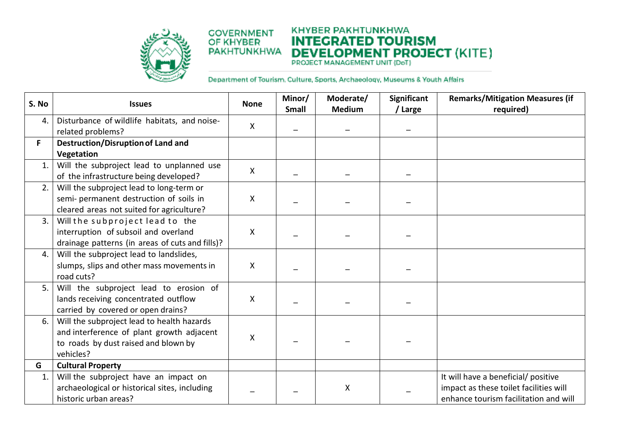

#### **KHYBER PAKHTUNKHWA COVERNMENT INTEGRATED TOURISM DEVELOPMENT PROJECT (KITE) PAKHTUNKHWA**

| S. No          | <b>Issues</b>                                                     | <b>None</b>               | Minor/<br><b>Small</b> | Moderate/<br><b>Medium</b> | <b>Significant</b><br>/ Large | <b>Remarks/Mitigation Measures (if</b><br>required) |
|----------------|-------------------------------------------------------------------|---------------------------|------------------------|----------------------------|-------------------------------|-----------------------------------------------------|
| 4.             | Disturbance of wildlife habitats, and noise-<br>related problems? | $\boldsymbol{\mathsf{X}}$ |                        |                            |                               |                                                     |
| F.             | <b>Destruction/Disruption of Land and</b>                         |                           |                        |                            |                               |                                                     |
|                | Vegetation                                                        |                           |                        |                            |                               |                                                     |
| 1.             | Will the subproject lead to unplanned use                         | X                         |                        |                            |                               |                                                     |
|                | of the infrastructure being developed?                            |                           |                        |                            |                               |                                                     |
| 2.             | Will the subproject lead to long-term or                          |                           |                        |                            |                               |                                                     |
|                | semi- permanent destruction of soils in                           | $\pmb{\mathsf{X}}$        |                        |                            |                               |                                                     |
|                | cleared areas not suited for agriculture?                         |                           |                        |                            |                               |                                                     |
| 3.             | Will the subproject lead to the                                   |                           |                        |                            |                               |                                                     |
|                | interruption of subsoil and overland                              | X                         |                        |                            |                               |                                                     |
|                | drainage patterns (in areas of cuts and fills)?                   |                           |                        |                            |                               |                                                     |
| 4.             | Will the subproject lead to landslides,                           |                           |                        |                            |                               |                                                     |
|                | slumps, slips and other mass movements in                         | $\pmb{\mathsf{X}}$        |                        |                            |                               |                                                     |
|                | road cuts?                                                        |                           |                        |                            |                               |                                                     |
| 5.             | Will the subproject lead to erosion of                            |                           |                        |                            |                               |                                                     |
|                | lands receiving concentrated outflow                              | $\pmb{\mathsf{X}}$        |                        |                            |                               |                                                     |
|                | carried by covered or open drains?                                |                           |                        |                            |                               |                                                     |
| 6.             | Will the subproject lead to health hazards                        |                           |                        |                            |                               |                                                     |
|                | and interference of plant growth adjacent                         | X                         |                        |                            |                               |                                                     |
|                | to roads by dust raised and blown by                              |                           |                        |                            |                               |                                                     |
|                | vehicles?                                                         |                           |                        |                            |                               |                                                     |
| G              | <b>Cultural Property</b>                                          |                           |                        |                            |                               |                                                     |
| $\mathbf{1}$ . | Will the subproject have an impact on                             |                           |                        |                            |                               | It will have a beneficial/ positive                 |
|                | archaeological or historical sites, including                     |                           |                        | χ                          |                               | impact as these toilet facilities will              |
|                | historic urban areas?                                             |                           |                        |                            |                               | enhance tourism facilitation and will               |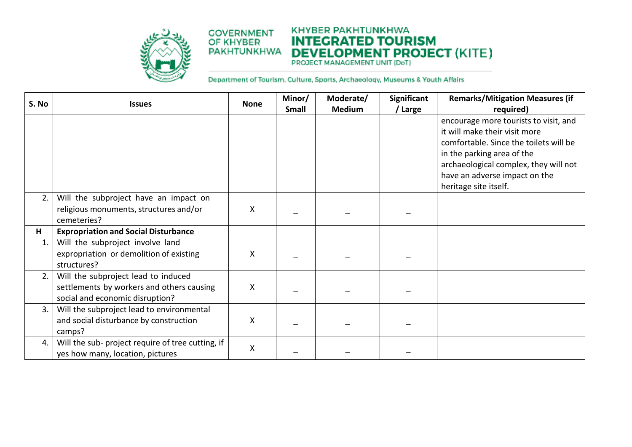

#### **KHYBER PAKHTUNKHWA COVERNMENT INTEGRATED TOURISM DEVELOPMENT PROJECT (KITE) PAKHTUNKHWA**

| S. No          | <b>Issues</b>                                                                                                       | <b>None</b>        | Minor/<br>Small | Moderate/<br><b>Medium</b> | Significant<br>/ Large | <b>Remarks/Mitigation Measures (if</b><br>required)                                                                                                                                                                                               |
|----------------|---------------------------------------------------------------------------------------------------------------------|--------------------|-----------------|----------------------------|------------------------|---------------------------------------------------------------------------------------------------------------------------------------------------------------------------------------------------------------------------------------------------|
|                |                                                                                                                     |                    |                 |                            |                        | encourage more tourists to visit, and<br>it will make their visit more<br>comfortable. Since the toilets will be<br>in the parking area of the<br>archaeological complex, they will not<br>have an adverse impact on the<br>heritage site itself. |
| 2.             | Will the subproject have an impact on<br>religious monuments, structures and/or<br>cemeteries?                      | $\mathsf{X}$       |                 |                            |                        |                                                                                                                                                                                                                                                   |
| H              | <b>Expropriation and Social Disturbance</b>                                                                         |                    |                 |                            |                        |                                                                                                                                                                                                                                                   |
| $\mathbf{1}$ . | Will the subproject involve land<br>expropriation or demolition of existing<br>structures?                          | X                  |                 |                            |                        |                                                                                                                                                                                                                                                   |
| 2.             | Will the subproject lead to induced<br>settlements by workers and others causing<br>social and economic disruption? | X                  |                 |                            |                        |                                                                                                                                                                                                                                                   |
| 3.             | Will the subproject lead to environmental<br>and social disturbance by construction<br>camps?                       | X                  |                 |                            |                        |                                                                                                                                                                                                                                                   |
| 4.             | Will the sub- project require of tree cutting, if<br>yes how many, location, pictures                               | $\pmb{\mathsf{X}}$ |                 |                            |                        |                                                                                                                                                                                                                                                   |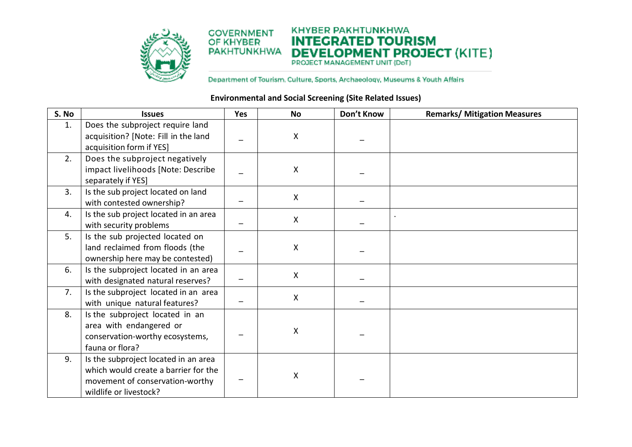

#### **KHYBER PAKHTUNKHWA COVERNMENT INTEGRATED TOURISM** OF KHYBER **DEVELOPMENT PROJECT (KITE) PAKHTUNKHWA**

Department of Tourism. Culture, Sports, Archaeology, Museums & Youth Affairs

## **Environmental and Social Screening (Site Related Issues)**

| S. No          | <b>Issues</b>                                                                                                                             | Yes | <b>No</b>    | Don't Know | <b>Remarks/ Mitigation Measures</b> |
|----------------|-------------------------------------------------------------------------------------------------------------------------------------------|-----|--------------|------------|-------------------------------------|
| $\mathbf{1}$ . | Does the subproject require land<br>acquisition? [Note: Fill in the land<br>acquisition form if YES]                                      |     | X            |            |                                     |
| 2.             | Does the subproject negatively<br>impact livelihoods [Note: Describe<br>separately if YES]                                                |     | $\mathsf{X}$ |            |                                     |
| 3.             | Is the sub project located on land<br>with contested ownership?                                                                           |     | X            |            |                                     |
| 4.             | Is the sub project located in an area<br>with security problems                                                                           |     | $\mathsf{X}$ |            |                                     |
| 5.             | Is the sub projected located on<br>land reclaimed from floods (the<br>ownership here may be contested)                                    |     | X            |            |                                     |
| 6.             | Is the subproject located in an area<br>with designated natural reserves?                                                                 |     | X            |            |                                     |
| 7 <sub>1</sub> | Is the subproject located in an area<br>with unique natural features?                                                                     |     | $\mathsf{X}$ |            |                                     |
| 8.             | Is the subproject located in an<br>area with endangered or<br>conservation-worthy ecosystems,<br>fauna or flora?                          |     | X            |            |                                     |
| 9.             | Is the subproject located in an area<br>which would create a barrier for the<br>movement of conservation-worthy<br>wildlife or livestock? |     | Χ            |            |                                     |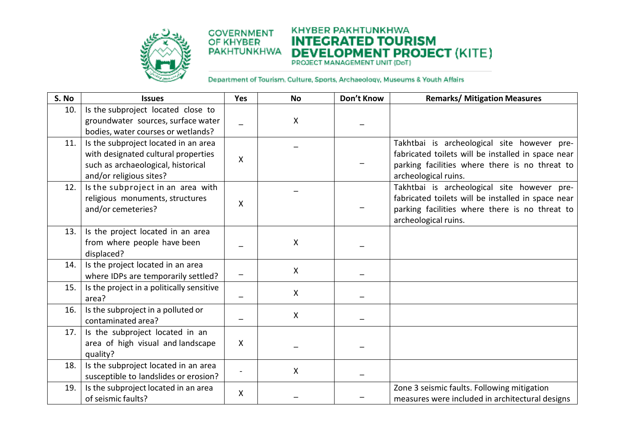

# **KHYBER PAKHTUNKHWA INTEGRATED TOURISM DEVELOPMENT PROJECT (KITE)**

| S. No | <b>Issues</b>                                                                                                                                | Yes          | <b>No</b>    | Don't Know | <b>Remarks/ Mitigation Measures</b>                                                                                                                                         |
|-------|----------------------------------------------------------------------------------------------------------------------------------------------|--------------|--------------|------------|-----------------------------------------------------------------------------------------------------------------------------------------------------------------------------|
| 10.   | Is the subproject located close to<br>groundwater sources, surface water<br>bodies, water courses or wetlands?                               |              | $\mathsf{X}$ |            |                                                                                                                                                                             |
| 11.   | Is the subproject located in an area<br>with designated cultural properties<br>such as archaeological, historical<br>and/or religious sites? | X            |              |            | Takhtbai is archeological site however pre-<br>fabricated toilets will be installed in space near<br>parking facilities where there is no threat to<br>archeological ruins. |
| 12.   | Is the subproject in an area with<br>religious monuments, structures<br>and/or cemeteries?                                                   | X            |              |            | Takhtbai is archeological site however pre-<br>fabricated toilets will be installed in space near<br>parking facilities where there is no threat to<br>archeological ruins. |
| 13.   | Is the project located in an area<br>from where people have been<br>displaced?                                                               |              | $\mathsf{X}$ |            |                                                                                                                                                                             |
| 14.   | Is the project located in an area<br>where IDPs are temporarily settled?                                                                     |              | $\mathsf{X}$ |            |                                                                                                                                                                             |
| 15.   | Is the project in a politically sensitive<br>area?                                                                                           |              | X            |            |                                                                                                                                                                             |
| 16.   | Is the subproject in a polluted or<br>contaminated area?                                                                                     |              | X            |            |                                                                                                                                                                             |
| 17.   | Is the subproject located in an<br>area of high visual and landscape<br>quality?                                                             | $\mathsf{X}$ |              |            |                                                                                                                                                                             |
| 18.   | Is the subproject located in an area<br>susceptible to landslides or erosion?                                                                |              | $\mathsf{X}$ |            |                                                                                                                                                                             |
| 19.   | Is the subproject located in an area<br>of seismic faults?                                                                                   | X            |              |            | Zone 3 seismic faults. Following mitigation<br>measures were included in architectural designs                                                                              |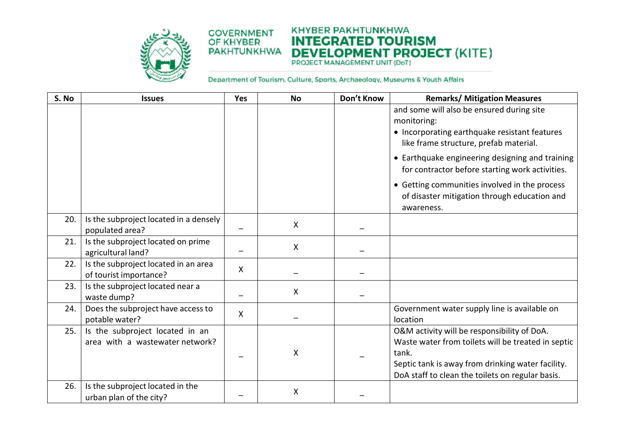



| S. No | <b>Issues</b>                                                      | Yes          | <b>No</b>    | Don't Know | <b>Remarks/ Mitigation Measures</b>                                                                                                                                                                                 |
|-------|--------------------------------------------------------------------|--------------|--------------|------------|---------------------------------------------------------------------------------------------------------------------------------------------------------------------------------------------------------------------|
|       |                                                                    |              |              |            | and some will also be ensured during site<br>monitoring:<br>• Incorporating earthquake resistant features<br>like frame structure, prefab material.                                                                 |
|       |                                                                    |              |              |            | • Earthquake engineering designing and training<br>for contractor before starting work activities.                                                                                                                  |
|       |                                                                    |              |              |            | • Getting communities involved in the process<br>of disaster mitigation through education and<br>awareness.                                                                                                         |
| 20.   | Is the subproject located in a densely<br>populated area?          |              | $\mathsf{X}$ |            |                                                                                                                                                                                                                     |
| 21.   | Is the subproject located on prime<br>agricultural land?           |              | X            |            |                                                                                                                                                                                                                     |
| 22.   | Is the subproject located in an area<br>of tourist importance?     | $\mathsf{X}$ |              |            |                                                                                                                                                                                                                     |
| 23.   | Is the subproject located near a<br>waste dump?                    |              | X            |            |                                                                                                                                                                                                                     |
| 24.   | Does the subproject have access to<br>potable water?               | X            |              |            | Government water supply line is available on<br>location                                                                                                                                                            |
| 25.   | Is the subproject located in an<br>area with a wastewater network? |              | X            |            | O&M activity will be responsibility of DoA.<br>Waste water from toilets will be treated in septic<br>tank.<br>Septic tank is away from drinking water facility.<br>DoA staff to clean the toilets on regular basis. |
| 26.   | Is the subproject located in the<br>urban plan of the city?        |              | X            |            |                                                                                                                                                                                                                     |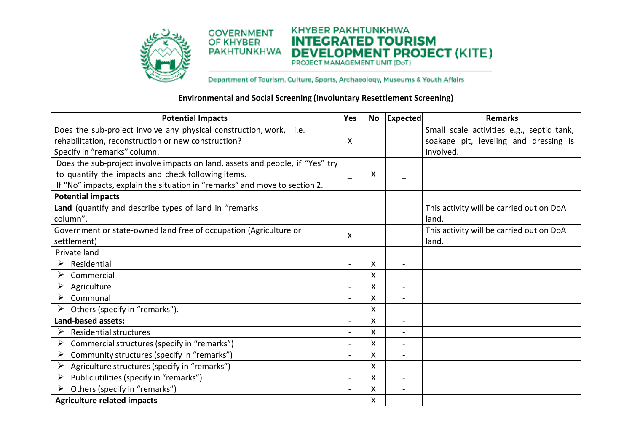



Department of Tourism. Culture, Sports, Archaeology, Museums & Youth Affairs

## **Environmental and Social Screening (Involuntary Resettlement Screening)**

| <b>Potential Impacts</b>                                                      | Yes            |   | No Expected              | <b>Remarks</b>                            |
|-------------------------------------------------------------------------------|----------------|---|--------------------------|-------------------------------------------|
| Does the sub-project involve any physical construction, work, i.e.            |                |   |                          | Small scale activities e.g., septic tank, |
| rehabilitation, reconstruction or new construction?                           | X              |   |                          | soakage pit, leveling and dressing is     |
| Specify in "remarks" column.                                                  |                |   |                          | involved.                                 |
| Does the sub-project involve impacts on land, assets and people, if "Yes" try |                |   |                          |                                           |
| to quantify the impacts and check following items.                            | ÷              | X |                          |                                           |
| If "No" impacts, explain the situation in "remarks" and move to section 2.    |                |   |                          |                                           |
| <b>Potential impacts</b>                                                      |                |   |                          |                                           |
| Land (quantify and describe types of land in "remarks                         |                |   |                          | This activity will be carried out on DoA  |
| column".                                                                      |                |   |                          | land.                                     |
| Government or state-owned land free of occupation (Agriculture or             | X              |   |                          | This activity will be carried out on DoA  |
| settlement)                                                                   |                |   |                          | land.                                     |
| Private land                                                                  |                |   |                          |                                           |
| ➤<br>Residential                                                              | $\blacksquare$ | X | $\overline{a}$           |                                           |
| ➤<br>Commercial                                                               |                | X |                          |                                           |
| ➤<br>Agriculture                                                              | $\blacksquare$ | X | $\overline{a}$           |                                           |
| Communal<br>➤                                                                 | $\blacksquare$ | Χ | $\overline{\phantom{a}}$ |                                           |
| Others (specify in "remarks").<br>➤                                           | $\blacksquare$ | Χ |                          |                                           |
| Land-based assets:                                                            |                | X |                          |                                           |
| <b>Residential structures</b><br>➤                                            | $\blacksquare$ | Χ |                          |                                           |
| ➤<br>Commercial structures (specify in "remarks")                             |                | Χ |                          |                                           |
| Community structures (specify in "remarks")<br>➤                              | $\blacksquare$ | X | $\overline{\phantom{a}}$ |                                           |
| Agriculture structures (specify in "remarks")<br>➤                            | $\blacksquare$ | Χ | $\overline{\phantom{a}}$ |                                           |
| Public utilities (specify in "remarks")<br>➤                                  |                | Χ |                          |                                           |
| Others (specify in "remarks")<br>➤                                            | $\blacksquare$ | Χ | $\blacksquare$           |                                           |
| <b>Agriculture related impacts</b>                                            | $\blacksquare$ | Χ |                          |                                           |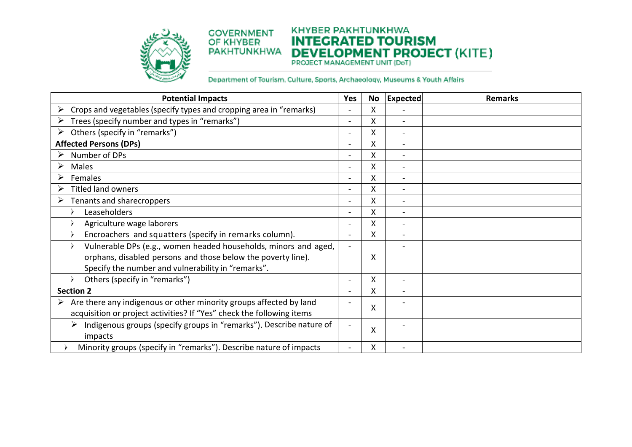

#### **KHYBER PAKHTUNKHWA COVERNMENT INTEGRATED TOURISM DEVELOPMENT PROJECT (KITE) PAKHTUNKHWA**

| <b>Potential Impacts</b>                                                 | Yes                      | No | <b>Expected</b>          | <b>Remarks</b> |
|--------------------------------------------------------------------------|--------------------------|----|--------------------------|----------------|
| Crops and vegetables (specify types and cropping area in "remarks)       | $\blacksquare$           | X  |                          |                |
| Trees (specify number and types in "remarks")<br>➤                       | $\blacksquare$           | Χ  | $\blacksquare$           |                |
| Others (specify in "remarks")<br>➤                                       | $\blacksquare$           | X  | $\blacksquare$           |                |
| <b>Affected Persons (DPs)</b>                                            | $\blacksquare$           | Χ  |                          |                |
| Number of DPs<br>➤                                                       | $\overline{\phantom{a}}$ | Χ  |                          |                |
| ➤<br>Males                                                               | $\blacksquare$           | X  | $\overline{\phantom{a}}$ |                |
| ≻<br>Females                                                             | $\blacksquare$           | X  | $\overline{\phantom{a}}$ |                |
| $\blacktriangleright$<br><b>Titled land owners</b>                       | $\blacksquare$           | X  | $\overline{\phantom{a}}$ |                |
| ➤<br>Tenants and sharecroppers                                           | $\overline{\phantom{a}}$ | X  |                          |                |
| Leaseholders                                                             | $\blacksquare$           | Χ  | $\blacksquare$           |                |
| Agriculture wage laborers                                                | $\blacksquare$           | X  | $\blacksquare$           |                |
| Encroachers and squatters (specify in remarks column).                   | $\sim$                   | X  |                          |                |
| Vulnerable DPs (e.g., women headed households, minors and aged,          | $\overline{\phantom{a}}$ |    |                          |                |
| orphans, disabled persons and those below the poverty line).             |                          | Χ  |                          |                |
| Specify the number and vulnerability in "remarks".                       |                          |    |                          |                |
| Others (specify in "remarks")<br>$\rightarrow$                           | $\blacksquare$           | X  | $\blacksquare$           |                |
| <b>Section 2</b>                                                         | $\overline{\phantom{0}}$ | X  |                          |                |
| Are there any indigenous or other minority groups affected by land       | $\overline{\phantom{0}}$ | X  |                          |                |
| acquisition or project activities? If "Yes" check the following items    |                          |    |                          |                |
| Indigenous groups (specify groups in "remarks"). Describe nature of<br>➤ |                          |    |                          |                |
| impacts                                                                  |                          | Χ  |                          |                |
| Minority groups (specify in "remarks"). Describe nature of impacts       |                          | Χ  |                          |                |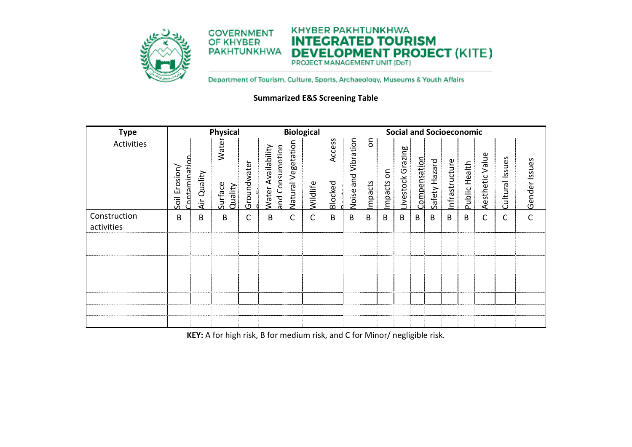

#### **KHYBER PAKHTUNKHWA COVERNMENT INTEGRATED TOURISM DEVELOPMENT PROJECT (KITE) PAKHTUNKHWA**

Department of Tourism. Culture, Sports, Archaeology, Museums & Youth Affairs

**Summarized E&S Screening Table** 

| <b>Type</b>                | <b>Physical</b>                     |                |                             | <b>Biological</b> |                                                 |                       |          |                   |                        |               |              |                   |              | <b>Social and Socioeconomic</b> |                |                  |                        |                    |               |
|----------------------------|-------------------------------------|----------------|-----------------------------|-------------------|-------------------------------------------------|-----------------------|----------|-------------------|------------------------|---------------|--------------|-------------------|--------------|---------------------------------|----------------|------------------|------------------------|--------------------|---------------|
| Activities                 | Contamination<br>osion<br>모<br>Soil | Quality<br>Äίr | Water<br>Surface<br>Quality | Groundwate        | Availability<br>and Consumption<br><b>Water</b> | Vegetation<br>Natural | wildlife | Access<br>Blocked | Vibration<br>Noise and | on<br>Impacts | δ<br>Impacts | Livestock Grazing | Compensation | Safety Hazard                   | Infrastructure | Health<br>Public | Value<br>esthetic<br>∢ | Issues<br>Cultural | Gender Issues |
| Construction<br>activities | B                                   | B              | B                           | С                 | B                                               | С                     | С        | B                 | B                      | B             | B            | B                 | В            | B                               | В              | B                | С                      | С                  | $\mathsf{C}$  |
|                            |                                     |                |                             |                   |                                                 |                       |          |                   |                        |               |              |                   |              |                                 |                |                  |                        |                    |               |
|                            |                                     |                |                             |                   |                                                 |                       |          |                   |                        |               |              |                   |              |                                 |                |                  |                        |                    |               |
|                            |                                     |                |                             |                   |                                                 |                       |          |                   |                        |               |              |                   |              |                                 |                |                  |                        |                    |               |
|                            |                                     |                |                             |                   |                                                 |                       |          |                   |                        |               |              |                   |              |                                 |                |                  |                        |                    |               |
|                            |                                     |                |                             |                   |                                                 |                       |          |                   |                        |               |              |                   |              |                                 |                |                  |                        |                    |               |

**KEY:** A for high risk, B for medium risk, and C for Minor/ negligible risk.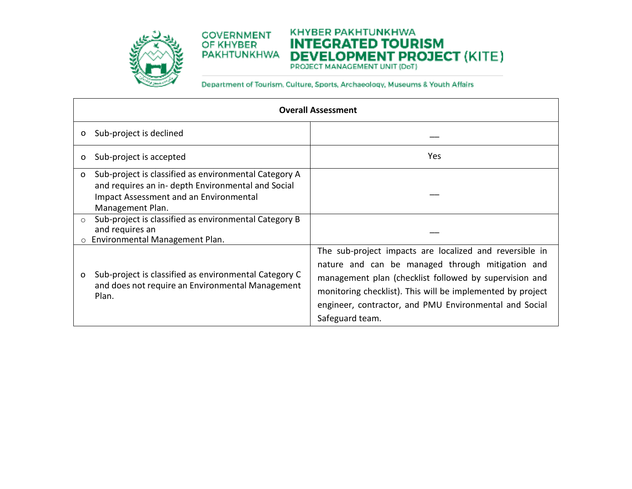

# **KHYBER PAKHTUNKHWA INTEGRATED TOURISM DEVELOPMENT PROJECT (KITE) PAKHTUNKHWA**

|              |                                                                                                                                                                           | <b>Overall Assessment</b>                                                                                                                                                                                                                                                                                        |
|--------------|---------------------------------------------------------------------------------------------------------------------------------------------------------------------------|------------------------------------------------------------------------------------------------------------------------------------------------------------------------------------------------------------------------------------------------------------------------------------------------------------------|
| O            | Sub-project is declined                                                                                                                                                   |                                                                                                                                                                                                                                                                                                                  |
| O            | Sub-project is accepted                                                                                                                                                   | Yes.                                                                                                                                                                                                                                                                                                             |
| $\circ$      | Sub-project is classified as environmental Category A<br>and requires an in- depth Environmental and Social<br>Impact Assessment and an Environmental<br>Management Plan. |                                                                                                                                                                                                                                                                                                                  |
| $\circ$<br>O | Sub-project is classified as environmental Category B<br>and requires an<br>Environmental Management Plan.                                                                |                                                                                                                                                                                                                                                                                                                  |
| o            | Sub-project is classified as environmental Category C<br>and does not require an Environmental Management<br>Plan.                                                        | The sub-project impacts are localized and reversible in<br>nature and can be managed through mitigation and<br>management plan (checklist followed by supervision and<br>monitoring checklist). This will be implemented by project<br>engineer, contractor, and PMU Environmental and Social<br>Safeguard team. |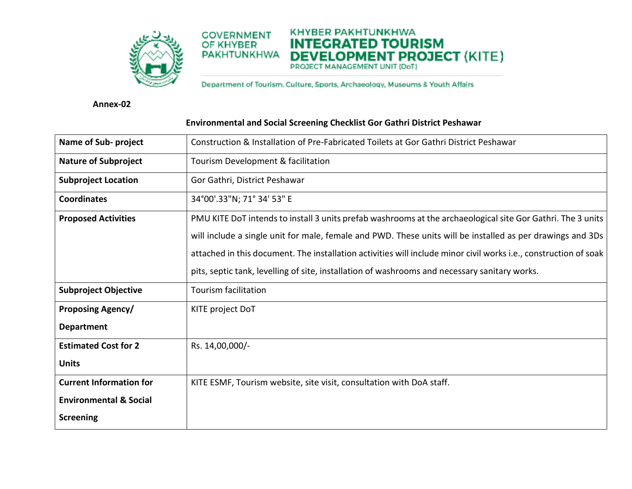

Department of Tourism. Culture, Sports, Archaeology, Museums & Youth Affairs

**KHYBER PAKHTUNKHWA** 

**INTEGRATED TOURISM** 

**DEVELOPMENT PROJECT (KITE)** 

**Annex-02** 

| Name of Sub- project              | Construction & Installation of Pre-Fabricated Toilets at Gor Gathri District Peshawar                            |
|-----------------------------------|------------------------------------------------------------------------------------------------------------------|
| <b>Nature of Subproject</b>       | Tourism Development & facilitation                                                                               |
| <b>Subproject Location</b>        | Gor Gathri, District Peshawar                                                                                    |
| <b>Coordinates</b>                | 34°00'.33"N; 71° 34' 53" E                                                                                       |
| <b>Proposed Activities</b>        | PMU KITE DoT intends to install 3 units prefab washrooms at the archaeological site Gor Gathri. The 3 units      |
|                                   | will include a single unit for male, female and PWD. These units will be installed as per drawings and 3Ds       |
|                                   | attached in this document. The installation activities will include minor civil works i.e., construction of soak |
|                                   | pits, septic tank, levelling of site, installation of washrooms and necessary sanitary works.                    |
| <b>Subproject Objective</b>       | Tourism facilitation                                                                                             |
| <b>Proposing Agency/</b>          | KITE project DoT                                                                                                 |
| <b>Department</b>                 |                                                                                                                  |
| <b>Estimated Cost for 2</b>       | Rs. 14,00,000/-                                                                                                  |
| <b>Units</b>                      |                                                                                                                  |
| <b>Current Information for</b>    | KITE ESMF, Tourism website, site visit, consultation with DoA staff.                                             |
| <b>Environmental &amp; Social</b> |                                                                                                                  |
| <b>Screening</b>                  |                                                                                                                  |

# **Environmental and Social Screening Checklist Gor Gathri District Peshawar**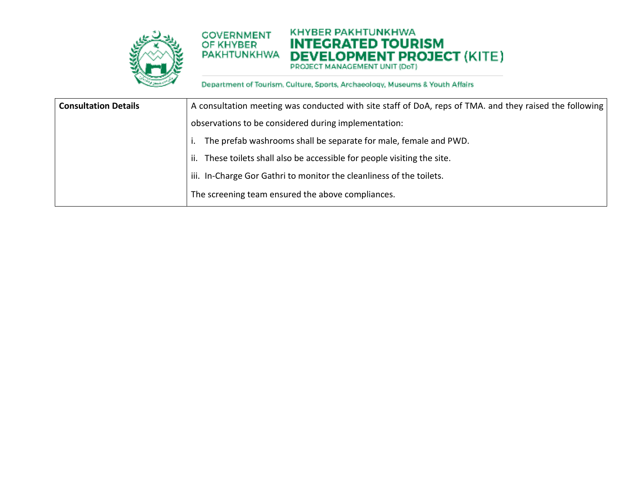

#### **KHYBER PAKHTUNKHWA COVERNMENT INTEGRATED TOURISM DEVELOPMENT PROJECT (KITE) PAKHTUNKHWA**

| <b>Consultation Details</b> | A consultation meeting was conducted with site staff of DoA, reps of TMA. and they raised the following |
|-----------------------------|---------------------------------------------------------------------------------------------------------|
|                             | observations to be considered during implementation:                                                    |
|                             | The prefab washrooms shall be separate for male, female and PWD.                                        |
|                             | These toilets shall also be accessible for people visiting the site.<br>ii.                             |
|                             | iii. In-Charge Gor Gathri to monitor the cleanliness of the toilets.                                    |
|                             | The screening team ensured the above compliances.                                                       |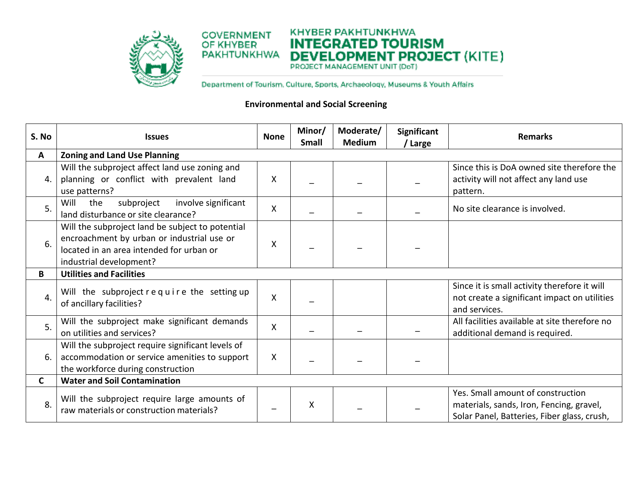

Department of Tourism. Culture, Sports, Archaeology, Museums & Youth Affairs

# **Environmental and Social Screening**

| S. No          | <b>Issues</b>                                                                                                                                                         | <b>None</b> | Minor/<br><b>Small</b> | Moderate/<br><b>Medium</b> | Significant<br>/ Large | <b>Remarks</b>                                                                                                               |  |  |  |  |
|----------------|-----------------------------------------------------------------------------------------------------------------------------------------------------------------------|-------------|------------------------|----------------------------|------------------------|------------------------------------------------------------------------------------------------------------------------------|--|--|--|--|
| A              | <b>Zoning and Land Use Planning</b>                                                                                                                                   |             |                        |                            |                        |                                                                                                                              |  |  |  |  |
| 4              | Will the subproject affect land use zoning and<br>planning or conflict with prevalent land<br>use patterns?                                                           | X           |                        |                            |                        | Since this is DoA owned site therefore the<br>activity will not affect any land use<br>pattern.                              |  |  |  |  |
| 5 <sub>1</sub> | Will<br>involve significant<br>the<br>subproject<br>land disturbance or site clearance?                                                                               | Χ           |                        |                            |                        | No site clearance is involved.                                                                                               |  |  |  |  |
| 6.             | Will the subproject land be subject to potential<br>encroachment by urban or industrial use or<br>located in an area intended for urban or<br>industrial development? | X           |                        |                            |                        |                                                                                                                              |  |  |  |  |
| B              | <b>Utilities and Facilities</b>                                                                                                                                       |             |                        |                            |                        |                                                                                                                              |  |  |  |  |
| 4.             | Will the subproject require the setting up<br>of ancillary facilities?                                                                                                | Χ           |                        |                            |                        | Since it is small activity therefore it will<br>not create a significant impact on utilities<br>and services.                |  |  |  |  |
| 5.             | Will the subproject make significant demands<br>on utilities and services?                                                                                            | X           |                        |                            |                        | All facilities available at site therefore no<br>additional demand is required.                                              |  |  |  |  |
| 6              | Will the subproject require significant levels of<br>accommodation or service amenities to support<br>the workforce during construction                               |             |                        |                            |                        |                                                                                                                              |  |  |  |  |
| $\mathsf{C}$   | <b>Water and Soil Contamination</b>                                                                                                                                   |             |                        |                            |                        |                                                                                                                              |  |  |  |  |
| 8.             | Will the subproject require large amounts of<br>raw materials or construction materials?                                                                              |             | X                      |                            |                        | Yes. Small amount of construction<br>materials, sands, Iron, Fencing, gravel,<br>Solar Panel, Batteries, Fiber glass, crush, |  |  |  |  |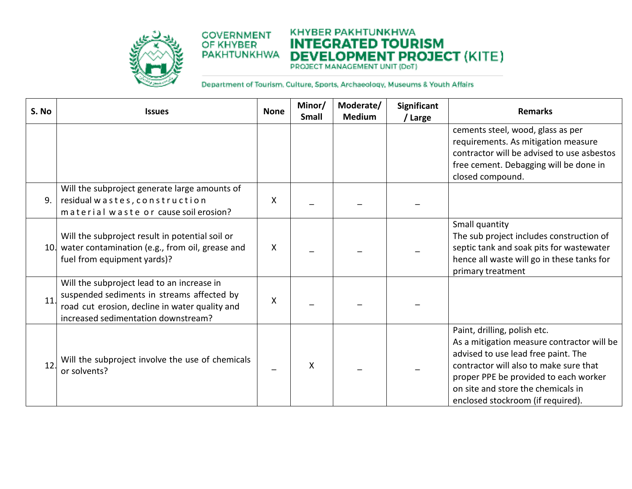

#### **KHYBER PAKHTUNKHWA COVERNMENT INTEGRATED TOURISM DEVELOPMENT PROJECT (KITE) PAKHTUNKHWA**

| S. No | <b>Issues</b>                                                                                                                                                                     | <b>None</b> | Minor/<br><b>Small</b> | Moderate/<br><b>Medium</b> | Significant<br>/ Large | <b>Remarks</b>                                                                                                                                                                                                                                                                  |
|-------|-----------------------------------------------------------------------------------------------------------------------------------------------------------------------------------|-------------|------------------------|----------------------------|------------------------|---------------------------------------------------------------------------------------------------------------------------------------------------------------------------------------------------------------------------------------------------------------------------------|
|       |                                                                                                                                                                                   |             |                        |                            |                        | cements steel, wood, glass as per<br>requirements. As mitigation measure                                                                                                                                                                                                        |
|       |                                                                                                                                                                                   |             |                        |                            |                        | contractor will be advised to use asbestos<br>free cement. Debagging will be done in<br>closed compound.                                                                                                                                                                        |
| 9.    | Will the subproject generate large amounts of<br>residual wastes, construction<br>material waste or cause soil erosion?                                                           | X           |                        |                            |                        |                                                                                                                                                                                                                                                                                 |
|       | Will the subproject result in potential soil or<br>10. water contamination (e.g., from oil, grease and<br>fuel from equipment yards)?                                             | X           |                        |                            |                        | Small quantity<br>The sub project includes construction of<br>septic tank and soak pits for wastewater<br>hence all waste will go in these tanks for<br>primary treatment                                                                                                       |
| 11.   | Will the subproject lead to an increase in<br>suspended sediments in streams affected by<br>road cut erosion, decline in water quality and<br>increased sedimentation downstream? | X           |                        |                            |                        |                                                                                                                                                                                                                                                                                 |
| 12    | Will the subproject involve the use of chemicals<br>or solvents?                                                                                                                  |             | X                      |                            |                        | Paint, drilling, polish etc.<br>As a mitigation measure contractor will be<br>advised to use lead free paint. The<br>contractor will also to make sure that<br>proper PPE be provided to each worker<br>on site and store the chemicals in<br>enclosed stockroom (if required). |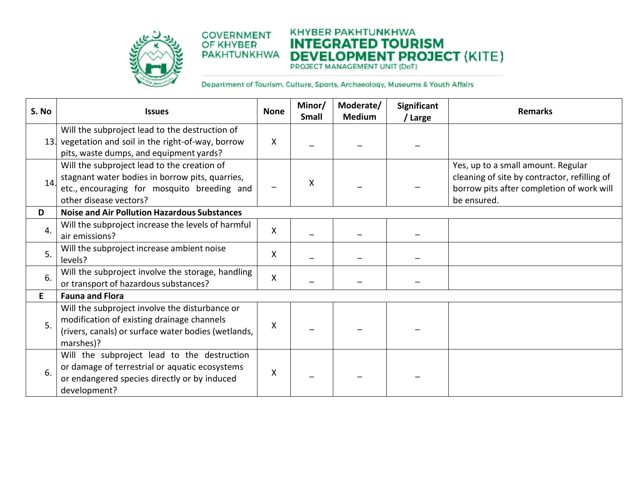

#### **KHYBER PAKHTUNKHWA COVERNMENT INTEGRATED TOURISM DEVELOPMENT PROJECT (KITE) PAKHTUNKHWA**

| S. No | <b>Issues</b>                                                                                                                                                           | <b>None</b> | Minor/<br><b>Small</b> | Moderate/<br><b>Medium</b> | <b>Significant</b><br>/ Large | <b>Remarks</b>                                                                                                                                 |
|-------|-------------------------------------------------------------------------------------------------------------------------------------------------------------------------|-------------|------------------------|----------------------------|-------------------------------|------------------------------------------------------------------------------------------------------------------------------------------------|
|       | Will the subproject lead to the destruction of<br>13. vegetation and soil in the right-of-way, borrow<br>pits, waste dumps, and equipment yards?                        | X           |                        |                            |                               |                                                                                                                                                |
| 14.   | Will the subproject lead to the creation of<br>stagnant water bodies in borrow pits, quarries,<br>etc., encouraging for mosquito breeding and<br>other disease vectors? |             | X                      |                            |                               | Yes, up to a small amount. Regular<br>cleaning of site by contractor, refilling of<br>borrow pits after completion of work will<br>be ensured. |
| D     | <b>Noise and Air Pollution Hazardous Substances</b>                                                                                                                     |             |                        |                            |                               |                                                                                                                                                |
| 4.    | Will the subproject increase the levels of harmful<br>air emissions?                                                                                                    | X           |                        |                            |                               |                                                                                                                                                |
| 5.    | Will the subproject increase ambient noise<br>levels?                                                                                                                   | X           |                        |                            |                               |                                                                                                                                                |
| 6.    | Will the subproject involve the storage, handling<br>or transport of hazardous substances?                                                                              | X           |                        |                            |                               |                                                                                                                                                |
| E     | <b>Fauna and Flora</b>                                                                                                                                                  |             |                        |                            |                               |                                                                                                                                                |
| 5.    | Will the subproject involve the disturbance or<br>modification of existing drainage channels<br>(rivers, canals) or surface water bodies (wetlands,<br>marshes)?        | X           |                        |                            |                               |                                                                                                                                                |
| 6.    | Will the subproject lead to the destruction<br>or damage of terrestrial or aquatic ecosystems<br>or endangered species directly or by induced<br>development?           | X           |                        |                            |                               |                                                                                                                                                |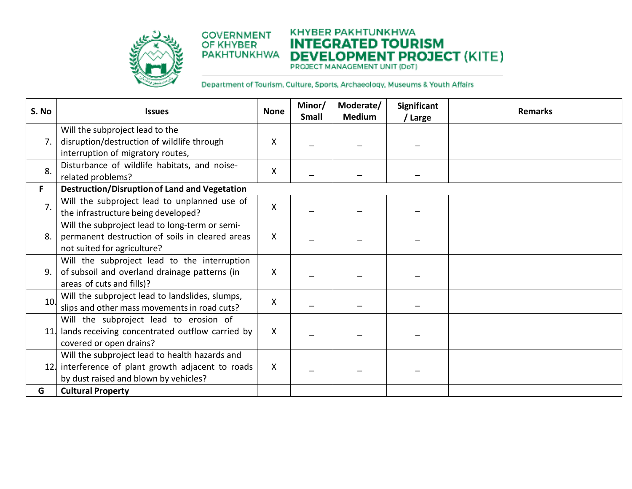

#### **KHYBER PAKHTUNKHWA COVERNMENT INTEGRATED TOURISM DEVELOPMENT PROJECT (KITE) PAKHTUNKHWA**

| S. No            | <b>Issues</b>                                                                                                                                 | <b>None</b> | Minor/<br><b>Small</b> | Moderate/<br><b>Medium</b> | <b>Significant</b><br>/ Large | <b>Remarks</b> |
|------------------|-----------------------------------------------------------------------------------------------------------------------------------------------|-------------|------------------------|----------------------------|-------------------------------|----------------|
| 7.               | Will the subproject lead to the<br>disruption/destruction of wildlife through<br>interruption of migratory routes,                            | х           |                        |                            |                               |                |
| 8.               | Disturbance of wildlife habitats, and noise-<br>related problems?                                                                             | X           |                        |                            |                               |                |
| F.               | <b>Destruction/Disruption of Land and Vegetation</b>                                                                                          |             |                        |                            |                               |                |
| $\overline{7}$ . | Will the subproject lead to unplanned use of<br>the infrastructure being developed?                                                           | X           |                        |                            |                               |                |
| 8.               | Will the subproject lead to long-term or semi-<br>permanent destruction of soils in cleared areas<br>not suited for agriculture?              | X           |                        |                            |                               |                |
| 9.               | Will the subproject lead to the interruption<br>of subsoil and overland drainage patterns (in<br>areas of cuts and fills)?                    | X           |                        |                            |                               |                |
| 10.              | Will the subproject lead to landslides, slumps,<br>slips and other mass movements in road cuts?                                               | Χ           |                        |                            |                               |                |
|                  | Will the subproject lead to erosion of<br>lands receiving concentrated outflow carried by<br>covered or open drains?                          | X           |                        |                            |                               |                |
|                  | Will the subproject lead to health hazards and<br>12. interference of plant growth adjacent to roads<br>by dust raised and blown by vehicles? | X           |                        |                            |                               |                |
| G                | <b>Cultural Property</b>                                                                                                                      |             |                        |                            |                               |                |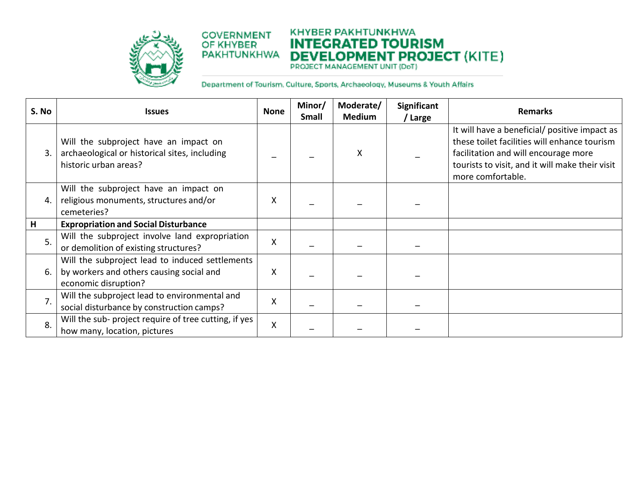

#### **KHYBER PAKHTUNKHWA COVERNMENT INTEGRATED TOURISM DEVELOPMENT PROJECT (KITE) PAKHTUNKHWA**

| S. No | <b>Issues</b>                                                                                                       | <b>None</b> | Minor/<br><b>Small</b> | Moderate/<br><b>Medium</b> | <b>Significant</b><br>/ Large | <b>Remarks</b>                                                                                                                                                                                                |
|-------|---------------------------------------------------------------------------------------------------------------------|-------------|------------------------|----------------------------|-------------------------------|---------------------------------------------------------------------------------------------------------------------------------------------------------------------------------------------------------------|
| 3     | Will the subproject have an impact on<br>archaeological or historical sites, including<br>historic urban areas?     |             |                        | X                          |                               | It will have a beneficial/ positive impact as<br>these toilet facilities will enhance tourism<br>facilitation and will encourage more<br>tourists to visit, and it will make their visit<br>more comfortable. |
| 4.    | Will the subproject have an impact on<br>religious monuments, structures and/or<br>cemeteries?                      | x           |                        |                            |                               |                                                                                                                                                                                                               |
| Н     | <b>Expropriation and Social Disturbance</b>                                                                         |             |                        |                            |                               |                                                                                                                                                                                                               |
| 5.    | Will the subproject involve land expropriation<br>or demolition of existing structures?                             | X           |                        |                            |                               |                                                                                                                                                                                                               |
| 6.    | Will the subproject lead to induced settlements<br>by workers and others causing social and<br>economic disruption? | Χ           |                        |                            |                               |                                                                                                                                                                                                               |
| 7.    | Will the subproject lead to environmental and<br>social disturbance by construction camps?                          | X           |                        |                            |                               |                                                                                                                                                                                                               |
| 8.    | Will the sub- project require of tree cutting, if yes<br>how many, location, pictures                               | Χ           |                        |                            |                               |                                                                                                                                                                                                               |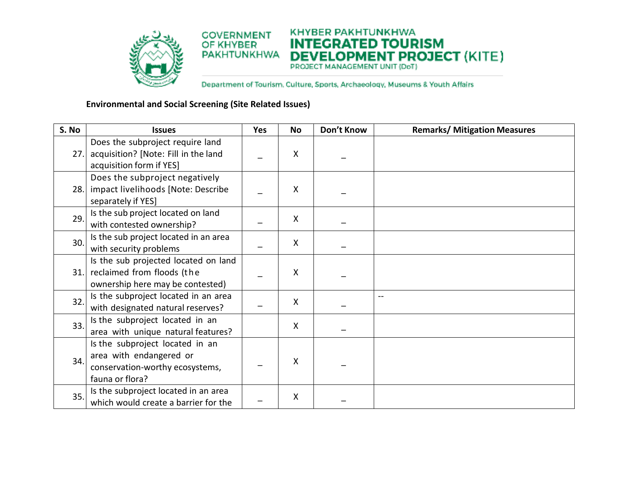

# **Environmental and Social Screening (Site Related Issues)**

| S. No | <b>Issues</b>                          | Yes | <b>No</b>                 | Don't Know | <b>Remarks/ Mitigation Measures</b> |
|-------|----------------------------------------|-----|---------------------------|------------|-------------------------------------|
|       | Does the subproject require land       |     |                           |            |                                     |
| 27.   | acquisition? [Note: Fill in the land   |     | Χ                         |            |                                     |
|       | acquisition form if YES]               |     |                           |            |                                     |
|       | Does the subproject negatively         |     |                           |            |                                     |
|       | 28. impact livelihoods [Note: Describe |     | X                         |            |                                     |
|       | separately if YES]                     |     |                           |            |                                     |
| 29.   | Is the sub project located on land     |     | X                         |            |                                     |
|       | with contested ownership?              |     |                           |            |                                     |
| 30.   | Is the sub project located in an area  |     | Χ                         |            |                                     |
|       | with security problems                 |     |                           |            |                                     |
|       | Is the sub projected located on land   |     |                           |            |                                     |
|       | 31. reclaimed from floods (the         |     | X                         |            |                                     |
|       | ownership here may be contested)       |     |                           |            |                                     |
| 32.   | Is the subproject located in an area   |     | $\boldsymbol{\mathsf{X}}$ |            | $\sim$                              |
|       | with designated natural reserves?      |     |                           |            |                                     |
| 33.   | Is the subproject located in an        |     | $\boldsymbol{\mathsf{X}}$ |            |                                     |
|       | area with unique natural features?     |     |                           |            |                                     |
|       | Is the subproject located in an        |     |                           |            |                                     |
| 34.   | area with endangered or                |     | X                         |            |                                     |
|       | conservation-worthy ecosystems,        |     |                           |            |                                     |
|       | fauna or flora?                        |     |                           |            |                                     |
| 35.   | Is the subproject located in an area   |     | Χ                         |            |                                     |
|       | which would create a barrier for the   |     |                           |            |                                     |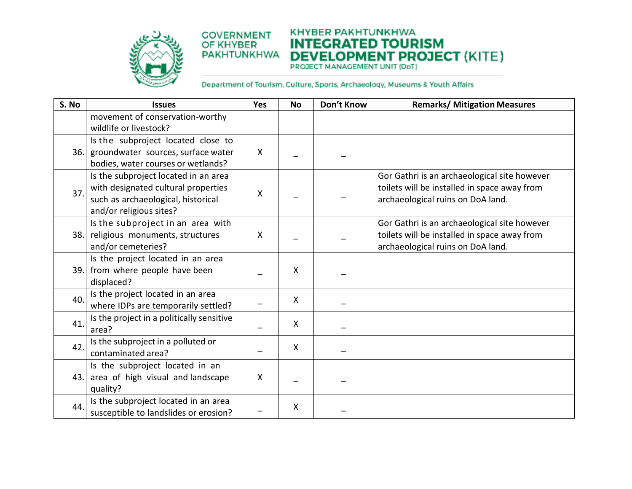

#### **KHYBER PAKHTUNKHWA COVERNMENT INTEGRATED TOURISM DEVELOPMENT PROJECT (KITE) PAKHTUNKHWA**

| S. No | <b>Issues</b>                                                                                                                                | Yes                       | <b>No</b>                 | Don't Know | <b>Remarks/ Mitigation Measures</b>                                                                                               |
|-------|----------------------------------------------------------------------------------------------------------------------------------------------|---------------------------|---------------------------|------------|-----------------------------------------------------------------------------------------------------------------------------------|
|       | movement of conservation-worthy<br>wildlife or livestock?                                                                                    |                           |                           |            |                                                                                                                                   |
| 36.   | Is the subproject located close to<br>groundwater sources, surface water<br>bodies, water courses or wetlands?                               | $\boldsymbol{\mathsf{X}}$ |                           |            |                                                                                                                                   |
| 37.   | Is the subproject located in an area<br>with designated cultural properties<br>such as archaeological, historical<br>and/or religious sites? | X                         |                           |            | Gor Gathri is an archaeological site however<br>toilets will be installed in space away from<br>archaeological ruins on DoA land. |
|       | Is the subproject in an area with<br>38. religious monuments, structures<br>and/or cemeteries?                                               | $\boldsymbol{\mathsf{X}}$ |                           |            | Gor Gathri is an archaeological site however<br>toilets will be installed in space away from<br>archaeological ruins on DoA land. |
|       | Is the project located in an area<br>39. from where people have been<br>displaced?                                                           |                           | X                         |            |                                                                                                                                   |
| 40.   | Is the project located in an area<br>where IDPs are temporarily settled?                                                                     |                           | $\mathsf{X}$              |            |                                                                                                                                   |
| 41.   | Is the project in a politically sensitive<br>area?                                                                                           |                           | $\boldsymbol{\mathsf{X}}$ |            |                                                                                                                                   |
| 42.   | Is the subproject in a polluted or<br>contaminated area?                                                                                     |                           | $\mathsf{X}$              |            |                                                                                                                                   |
| 43.1  | Is the subproject located in an<br>area of high visual and landscape<br>quality?                                                             | $\boldsymbol{\mathsf{X}}$ |                           |            |                                                                                                                                   |
| 44.   | Is the subproject located in an area<br>susceptible to landslides or erosion?                                                                |                           | X                         |            |                                                                                                                                   |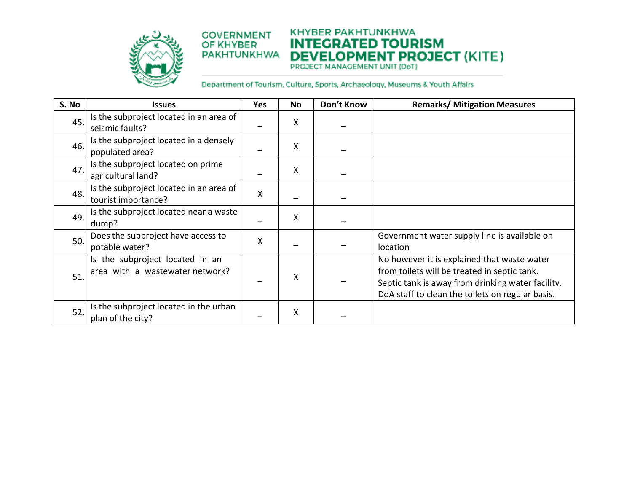

**KHYBER PAKHTUNKHWA COVERNMENT INTEGRATED TOURISM DEVELOPMENT PROJECT (KITE) PAKHTUNKHWA** 

| S. No | <b>Issues</b>                                                      | <b>Yes</b> | No | Don't Know | <b>Remarks/ Mitigation Measures</b>                                                                                                                                                                  |
|-------|--------------------------------------------------------------------|------------|----|------------|------------------------------------------------------------------------------------------------------------------------------------------------------------------------------------------------------|
| 45.   | Is the subproject located in an area of<br>seismic faults?         |            | X  |            |                                                                                                                                                                                                      |
| 46.   | Is the subproject located in a densely<br>populated area?          |            | Χ  |            |                                                                                                                                                                                                      |
| 47.   | Is the subproject located on prime<br>agricultural land?           |            | X  |            |                                                                                                                                                                                                      |
| 48.   | Is the subproject located in an area of<br>tourist importance?     | X          |    |            |                                                                                                                                                                                                      |
| 49.   | Is the subproject located near a waste<br>dump?                    |            | X  |            |                                                                                                                                                                                                      |
| 50.   | Does the subproject have access to<br>potable water?               | X          |    |            | Government water supply line is available on<br>location                                                                                                                                             |
| 51    | Is the subproject located in an<br>area with a wastewater network? |            | X  |            | No however it is explained that waste water<br>from toilets will be treated in septic tank.<br>Septic tank is away from drinking water facility.<br>DoA staff to clean the toilets on regular basis. |
| 52    | Is the subproject located in the urban<br>plan of the city?        |            | Χ  |            |                                                                                                                                                                                                      |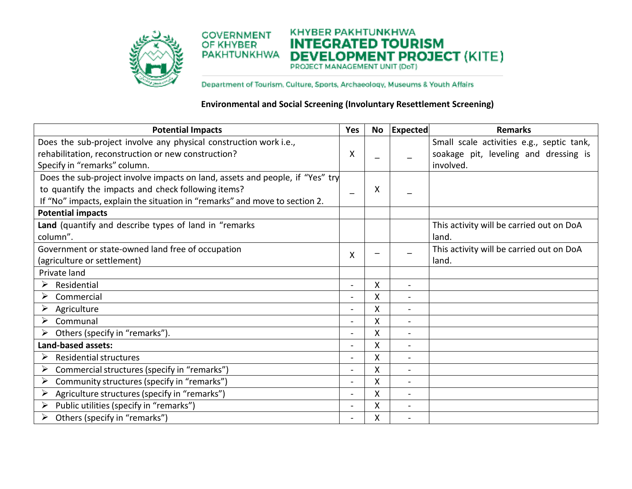

KHYBER PAKHTUNKHWA **COVERNMENT INTEGRATED TOURISM DEVELOPMENT PROJECT (KITE) PAKHTUNKHWA** 

Department of Tourism. Culture, Sports, Archaeology, Museums & Youth Affairs

### **Environmental and Social Screening (Involuntary Resettlement Screening)**

| <b>Potential Impacts</b>                                                      | Yes                      | No | <b>Expected</b>          | <b>Remarks</b>                            |
|-------------------------------------------------------------------------------|--------------------------|----|--------------------------|-------------------------------------------|
| Does the sub-project involve any physical construction work i.e.,             |                          |    |                          | Small scale activities e.g., septic tank, |
| rehabilitation, reconstruction or new construction?                           | X                        |    |                          | soakage pit, leveling and dressing is     |
| Specify in "remarks" column.                                                  |                          |    |                          | involved.                                 |
| Does the sub-project involve impacts on land, assets and people, if "Yes" try |                          |    |                          |                                           |
| to quantify the impacts and check following items?                            | $\overline{\phantom{0}}$ | Χ  |                          |                                           |
| If "No" impacts, explain the situation in "remarks" and move to section 2.    |                          |    |                          |                                           |
| <b>Potential impacts</b>                                                      |                          |    |                          |                                           |
| Land (quantify and describe types of land in "remarks                         |                          |    |                          | This activity will be carried out on DoA  |
| column".                                                                      |                          |    |                          | land.                                     |
| Government or state-owned land free of occupation                             | X                        |    |                          | This activity will be carried out on DoA  |
| (agriculture or settlement)                                                   |                          |    |                          | land.                                     |
| Private land                                                                  |                          |    |                          |                                           |
| ➤<br>Residential                                                              | $\overline{a}$           | X  | $\blacksquare$           |                                           |
| ➤<br>Commercial                                                               | $\overline{\phantom{0}}$ | X  |                          |                                           |
| ➤<br>Agriculture                                                              | $\overline{a}$           | X  |                          |                                           |
| ➤<br>Communal                                                                 | $\blacksquare$           | X  |                          |                                           |
| Others (specify in "remarks").<br>➤                                           | $\overline{a}$           | X  |                          |                                           |
| Land-based assets:                                                            | $\overline{a}$           | x  |                          |                                           |
| <b>Residential structures</b><br>➤                                            | $\overline{a}$           | X  | $\blacksquare$           |                                           |
| ➤<br>Commercial structures (specify in "remarks")                             | $\overline{\phantom{0}}$ | X  | $\blacksquare$           |                                           |
| Community structures (specify in "remarks")<br>➤                              | $\overline{a}$           | Χ  | $\overline{\phantom{0}}$ |                                           |
| Agriculture structures (specify in "remarks")<br>➤                            | $\overline{a}$           | Χ  | $\blacksquare$           |                                           |
| Public utilities (specify in "remarks")<br>➤                                  | $\overline{a}$           | Χ  | $\blacksquare$           |                                           |
| Others (specify in "remarks")<br>➤                                            | $\overline{\phantom{0}}$ | Χ  | $\blacksquare$           |                                           |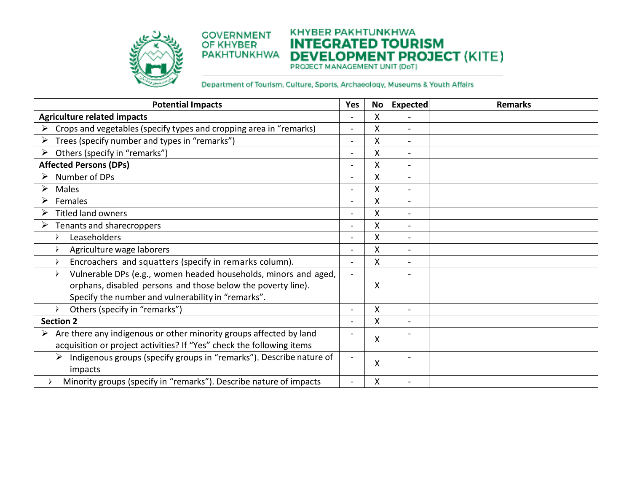

#### **KHYBER PAKHTUNKHWA COVERNMENT INTEGRATED TOURISM DEVELOPMENT PROJECT (KITE) PAKHTUNKHWA**

| <b>Potential Impacts</b>                                                 | <b>Yes</b>               | <b>No</b> | <b>Expected</b> | <b>Remarks</b> |
|--------------------------------------------------------------------------|--------------------------|-----------|-----------------|----------------|
| <b>Agriculture related impacts</b>                                       |                          | X         |                 |                |
| Crops and vegetables (specify types and cropping area in "remarks)<br>➤  | $\overline{\phantom{a}}$ | X         | $\overline{a}$  |                |
| Trees (specify number and types in "remarks")<br>➤                       | $\sim$                   | X         |                 |                |
| Others (specify in "remarks")<br>➤                                       | $\overline{\phantom{a}}$ | Χ         | $\blacksquare$  |                |
| <b>Affected Persons (DPs)</b>                                            | $\overline{a}$           | Χ         | $\blacksquare$  |                |
| Number of DPs<br>➤                                                       | $\blacksquare$           | X         | $\blacksquare$  |                |
| ≻<br>Males                                                               | $\overline{a}$           | X         | $\overline{a}$  |                |
| Females                                                                  | $\blacksquare$           | X         | $\blacksquare$  |                |
| <b>Titled land owners</b><br>≻                                           |                          | X         |                 |                |
| ➤<br>Tenants and sharecroppers                                           | $\overline{\phantom{0}}$ | X         |                 |                |
| Leaseholders                                                             |                          | Χ         |                 |                |
| Agriculture wage laborers                                                | $\overline{\phantom{a}}$ | X         |                 |                |
| Encroachers and squatters (specify in remarks column).                   | $\overline{\phantom{a}}$ | X         | $\blacksquare$  |                |
| Vulnerable DPs (e.g., women headed households, minors and aged,          | $\overline{\phantom{a}}$ |           |                 |                |
| orphans, disabled persons and those below the poverty line).             |                          | Χ         |                 |                |
| Specify the number and vulnerability in "remarks".                       |                          |           |                 |                |
| Others (specify in "remarks")<br>$\rightarrow$                           | $\blacksquare$           | X         | $\blacksquare$  |                |
| <b>Section 2</b>                                                         |                          | X         |                 |                |
| Are there any indigenous or other minority groups affected by land       | $\overline{\phantom{a}}$ | X         |                 |                |
| acquisition or project activities? If "Yes" check the following items    |                          |           |                 |                |
| Indigenous groups (specify groups in "remarks"). Describe nature of<br>➤ |                          | Χ         |                 |                |
| impacts                                                                  |                          |           |                 |                |
| Minority groups (specify in "remarks"). Describe nature of impacts       |                          | Χ         |                 |                |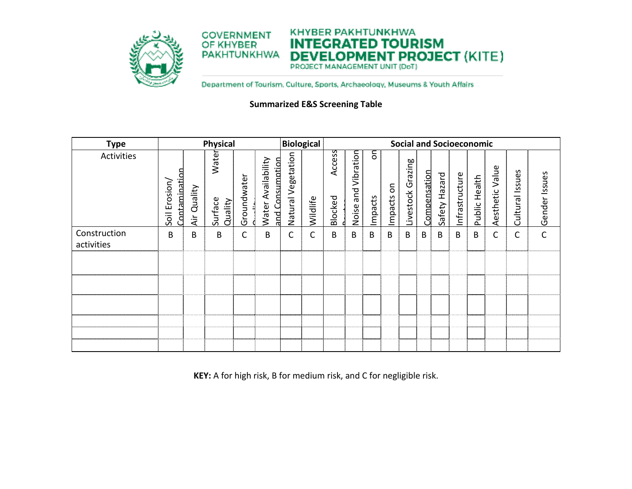

Department of Tourism. Culture, Sports, Archaeology, Museums & Youth Affairs

## **Summarized E&S Screening Table**

| <b>Physical</b><br><b>Type</b> |                                  |               | <b>Biological</b>           |             |                                                 | <b>Social and Socioeconomic</b> |          |                   |                           |              |                           |                      |              |               |                |                  |                    |                    |               |
|--------------------------------|----------------------------------|---------------|-----------------------------|-------------|-------------------------------------------------|---------------------------------|----------|-------------------|---------------------------|--------------|---------------------------|----------------------|--------------|---------------|----------------|------------------|--------------------|--------------------|---------------|
| Activities                     | Contamination<br>Erosion<br>Soil | Quality<br>äΞ | Water<br>Surface<br>Quality | Groundwater | Availability<br>and Consumption<br><b>Water</b> | Vegetation<br>Natural           | Wildlife | Access<br>Blocked | Vibration<br>and<br>Noise | δ<br>Impacts | $\overline{5}$<br>Impacts | Grazing<br>Livestock | Compensation | Safety Hazard | Infrastructure | Health<br>Public | Value<br>Aesthetic | Issues<br>Cultural | Gender Issues |
| Construction<br>activities     | B                                | B             | B                           | C           | B                                               | C                               | С        | B                 | B                         | B            | B                         | B                    | В            | B             | B              | B                | C                  | C                  | C             |
|                                |                                  |               |                             |             |                                                 |                                 |          |                   |                           |              |                           |                      |              |               |                |                  |                    |                    |               |

**KEY:** A for high risk, B for medium risk, and C for negligible risk.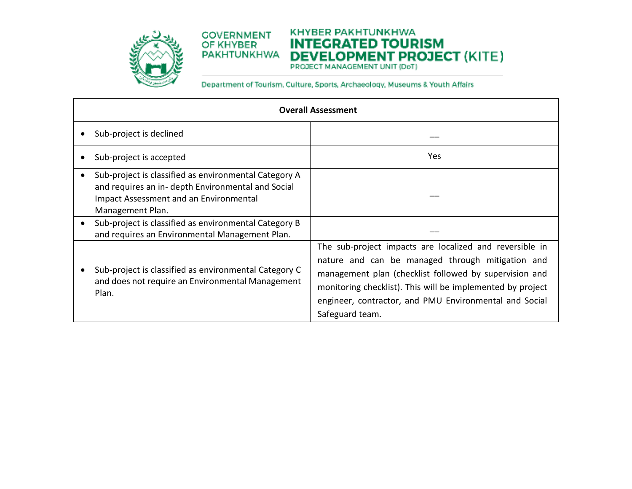

#### **KHYBER PAKHTUNKHWA COVERNMENT INTEGRATED TOURISM DEVELOPMENT PROJECT (KITE) PAKHTUNKHWA**

| <b>Overall Assessment</b>                                                                                                                                                 |                                                                                                                                                                                                                                                                                                                  |  |  |  |  |  |  |  |  |
|---------------------------------------------------------------------------------------------------------------------------------------------------------------------------|------------------------------------------------------------------------------------------------------------------------------------------------------------------------------------------------------------------------------------------------------------------------------------------------------------------|--|--|--|--|--|--|--|--|
| Sub-project is declined                                                                                                                                                   |                                                                                                                                                                                                                                                                                                                  |  |  |  |  |  |  |  |  |
| Sub-project is accepted                                                                                                                                                   | <b>Yes</b>                                                                                                                                                                                                                                                                                                       |  |  |  |  |  |  |  |  |
| Sub-project is classified as environmental Category A<br>and requires an in- depth Environmental and Social<br>Impact Assessment and an Environmental<br>Management Plan. |                                                                                                                                                                                                                                                                                                                  |  |  |  |  |  |  |  |  |
| Sub-project is classified as environmental Category B<br>and requires an Environmental Management Plan.                                                                   |                                                                                                                                                                                                                                                                                                                  |  |  |  |  |  |  |  |  |
| Sub-project is classified as environmental Category C<br>and does not require an Environmental Management<br>Plan.                                                        | The sub-project impacts are localized and reversible in<br>nature and can be managed through mitigation and<br>management plan (checklist followed by supervision and<br>monitoring checklist). This will be implemented by project<br>engineer, contractor, and PMU Environmental and Social<br>Safeguard team. |  |  |  |  |  |  |  |  |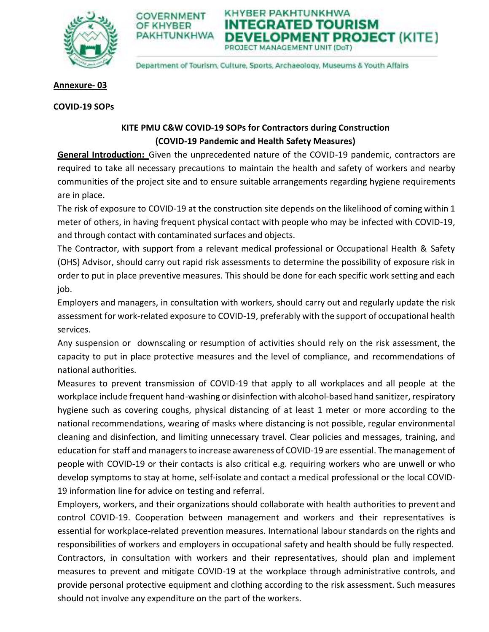

KHYBER PAKHTUNKHWA COVERNMENT FGRATED TOUR KHVRFD **(HTUNKHWA VELOPMENT PROJECT (KITE)** PROJECT MANAGEMENT UNIT (DoT)

Department of Tourism, Culture, Sports, Archaeology, Museums & Youth Affairs

# **Annexure- 03**

# **COVID-19 SOPs**

# **KITE PMU C&W COVID-19 SOPs for Contractors during Construction (COVID-19 Pandemic and Health Safety Measures)**

**General Introduction:** Given the unprecedented nature of the COVID-19 pandemic, contractors are required to take all necessary precautions to maintain the health and safety of workers and nearby communities of the project site and to ensure suitable arrangements regarding hygiene requirements are in place.

The risk of exposure to COVID-19 at the construction site depends on the likelihood of coming within 1 meter of others, in having frequent physical contact with people who may be infected with COVID-19, and through contact with contaminated surfaces and objects.

The Contractor, with support from a relevant medical professional or Occupational Health & Safety (OHS) Advisor, should carry out rapid risk assessments to determine the possibility of exposure risk in order to put in place preventive measures. This should be done for each specific work setting and each job.

Employers and managers, in consultation with workers, should carry out and regularly update the risk assessment for work-related exposure to COVID-19, preferably with the support of occupational health services.

Any suspension or downscaling or resumption of activities should rely on the risk assessment, the capacity to put in place protective measures and the level of compliance, and recommendations of national authorities.

Measures to prevent transmission of COVID-19 that apply to all workplaces and all people at the workplace include frequent hand-washing or disinfection with alcohol-based hand sanitizer, respiratory hygiene such as covering coughs, physical distancing of at least 1 meter or more according to the national recommendations, wearing of masks where distancing is not possible, regular environmental cleaning and disinfection, and limiting unnecessary travel. Clear policies and messages, training, and education for staff and managers to increase awareness of COVID-19 are essential. The management of people with COVID-19 or their contacts is also critical e.g. requiring workers who are unwell or who develop symptoms to stay at home, self-isolate and contact a medical professional or the local COVID-19 information line for advice on testing and referral.

Employers, workers, and their organizations should collaborate with health authorities to prevent and control COVID-19. Cooperation between management and workers and their representatives is essential for workplace-related prevention measures. International labour standards on the rights and responsibilities of workers and employers in occupational safety and health should be fully respected. Contractors, in consultation with workers and their representatives, should plan and implement measures to prevent and mitigate COVID-19 at the workplace through administrative controls, and provide personal protective equipment and clothing according to the risk assessment. Such measures should not involve any expenditure on the part of the workers.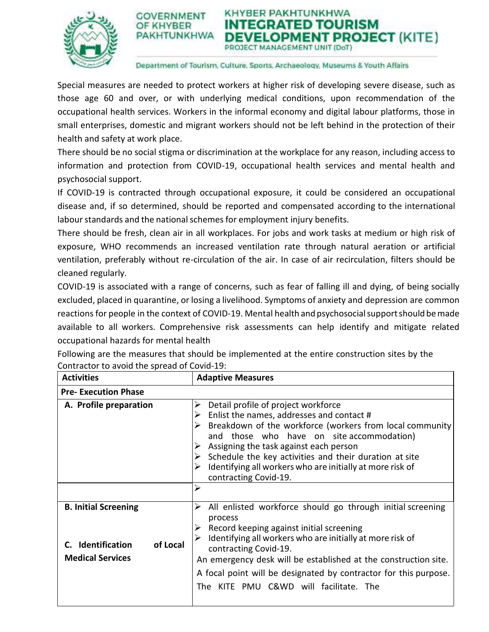



#### Department of Tourism, Culture, Sports, Archaeology, Museums & Youth Affairs

Special measures are needed to protect workers at higher risk of developing severe disease, such as those age 60 and over, or with underlying medical conditions, upon recommendation of the occupational health services. Workers in the informal economy and digital labour platforms, those in small enterprises, domestic and migrant workers should not be left behind in the protection of their health and safety at work place.

There should be no social stigma or discrimination at the workplace for any reason, including access to information and protection from COVID-19, occupational health services and mental health and psychosocial support.

If COVID-19 is contracted through occupational exposure, it could be considered an occupational disease and, if so determined, should be reported and compensated according to the international labour standards and the national schemes for employment injury benefits.

There should be fresh, clean air in all workplaces. For jobs and work tasks at medium or high risk of exposure, WHO recommends an increased ventilation rate through natural aeration or artificial ventilation, preferably without re-circulation of the air. In case of air recirculation, filters should be cleaned regularly.

COVID-19 is associated with a range of concerns, such as fear of falling ill and dying, of being socially excluded, placed in quarantine, or losing a livelihood. Symptoms of anxiety and depression are common reactions for people in the context of COVID-19. Mental health and psychosocial support should be made available to all workers. Comprehensive risk assessments can help identify and mitigate related occupational hazards for mental health

| <b>Activities</b>                                                                       | <b>Adaptive Measures</b>                                                                                                                                                                                                                                                                                                                                                                      |  |  |
|-----------------------------------------------------------------------------------------|-----------------------------------------------------------------------------------------------------------------------------------------------------------------------------------------------------------------------------------------------------------------------------------------------------------------------------------------------------------------------------------------------|--|--|
| <b>Pre- Execution Phase</b>                                                             |                                                                                                                                                                                                                                                                                                                                                                                               |  |  |
| A. Profile preparation                                                                  | Detail profile of project workforce<br>Enlist the names, addresses and contact #<br>Breakdown of the workforce (workers from local community<br>and those who have on site accommodation)<br>Assigning the task against each person<br>Schedule the key activities and their duration at site<br>Identifying all workers who are initially at more risk of<br>contracting Covid-19.           |  |  |
|                                                                                         | ↘                                                                                                                                                                                                                                                                                                                                                                                             |  |  |
| <b>B. Initial Screening</b><br>C. Identification<br>of Local<br><b>Medical Services</b> | All enlisted workforce should go through initial screening<br>➤<br>process<br>Record keeping against initial screening<br>Identifying all workers who are initially at more risk of<br>contracting Covid-19.<br>An emergency desk will be established at the construction site.<br>A focal point will be designated by contractor for this purpose.<br>The KITE PMU C&WD will facilitate. The |  |  |

Following are the measures that should be implemented at the entire construction sites by the Contractor to avoid the spread of Covid-19: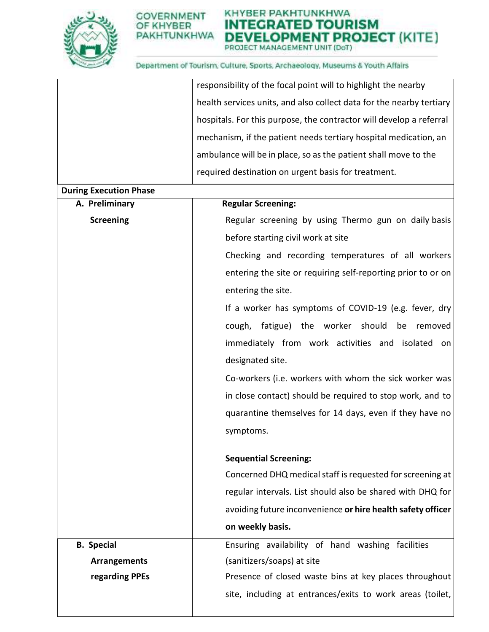

KHYBER PAKHTUNKHWA **TEGRATED TOURISM** IN **DEVELOPMENT PROJECT (KITE)** PROJECT MANAGEMENT UNIT (DoT)

|                               | responsibility of the focal point will to highlight the nearby       |
|-------------------------------|----------------------------------------------------------------------|
|                               | health services units, and also collect data for the nearby tertiary |
|                               | hospitals. For this purpose, the contractor will develop a referral  |
|                               | mechanism, if the patient needs tertiary hospital medication, an     |
|                               | ambulance will be in place, so as the patient shall move to the      |
|                               | required destination on urgent basis for treatment.                  |
| <b>During Execution Phase</b> |                                                                      |
| A. Preliminary                | <b>Regular Screening:</b>                                            |
| <b>Screening</b>              | Regular screening by using Thermo gun on daily basis                 |
|                               | before starting civil work at site                                   |
|                               | Checking and recording temperatures of all workers                   |
|                               | entering the site or requiring self-reporting prior to or on         |
|                               | entering the site.                                                   |
|                               | If a worker has symptoms of COVID-19 (e.g. fever, dry                |
|                               | cough, fatigue) the worker should<br>be<br>removed                   |
|                               | immediately from work activities and isolated on                     |
|                               | designated site.                                                     |
|                               | Co-workers (i.e. workers with whom the sick worker was               |
|                               | in close contact) should be required to stop work, and to            |
|                               | quarantine themselves for 14 days, even if they have no              |
|                               | symptoms.                                                            |
|                               |                                                                      |
|                               | <b>Sequential Screening:</b>                                         |
|                               | Concerned DHQ medical staff is requested for screening at            |
|                               | regular intervals. List should also be shared with DHQ for           |
|                               | avoiding future inconvenience or hire health safety officer          |
|                               | on weekly basis.                                                     |
| <b>B.</b> Special             | Ensuring availability of hand washing facilities                     |
| <b>Arrangements</b>           | (sanitizers/soaps) at site                                           |
| regarding PPEs                | Presence of closed waste bins at key places throughout               |
|                               | site, including at entrances/exits to work areas (toilet,            |
|                               |                                                                      |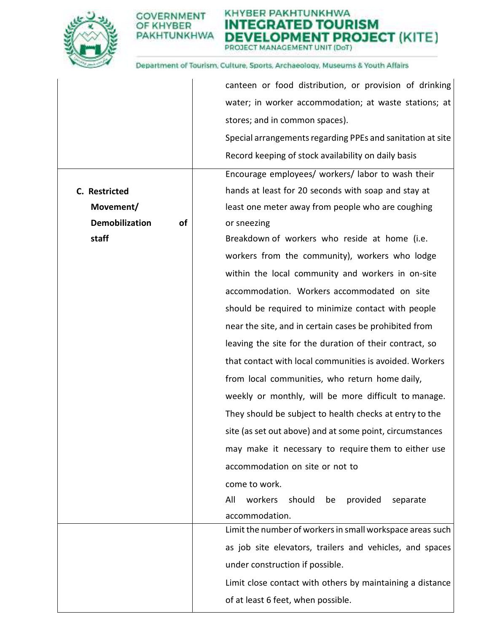

#### KHYBER PAKHTUNKHWA **ITEGRATED TOURISM** IN **DEVELOPMENT PROJECT (KITE)** PROJECT MANAGEMENT UNIT (DoT)

|                             | canteen or food distribution, or provision of drinking     |
|-----------------------------|------------------------------------------------------------|
|                             | water; in worker accommodation; at waste stations; at      |
|                             | stores; and in common spaces).                             |
|                             | Special arrangements regarding PPEs and sanitation at site |
|                             | Record keeping of stock availability on daily basis        |
|                             | Encourage employees/ workers/ labor to wash their          |
| C. Restricted               | hands at least for 20 seconds with soap and stay at        |
| Movement/                   | least one meter away from people who are coughing          |
| <b>Demobilization</b><br>of | or sneezing                                                |
| staff                       | Breakdown of workers who reside at home (i.e.              |
|                             | workers from the community), workers who lodge             |
|                             | within the local community and workers in on-site          |
|                             | accommodation. Workers accommodated on site                |
|                             | should be required to minimize contact with people         |
|                             | near the site, and in certain cases be prohibited from     |
|                             | leaving the site for the duration of their contract, so    |
|                             | that contact with local communities is avoided. Workers    |
|                             | from local communities, who return home daily,             |
|                             | weekly or monthly, will be more difficult to manage.       |
|                             | They should be subject to health checks at entry to the    |
|                             | site (as set out above) and at some point, circumstances   |
|                             | may make it necessary to require them to either use        |
|                             | accommodation on site or not to                            |
|                             | come to work.                                              |
|                             | workers<br>All<br>should<br>provided<br>be<br>separate     |
|                             | accommodation.                                             |
|                             | Limit the number of workers in small workspace areas such  |
|                             | as job site elevators, trailers and vehicles, and spaces   |
|                             | under construction if possible.                            |
|                             | Limit close contact with others by maintaining a distance  |
|                             | of at least 6 feet, when possible.                         |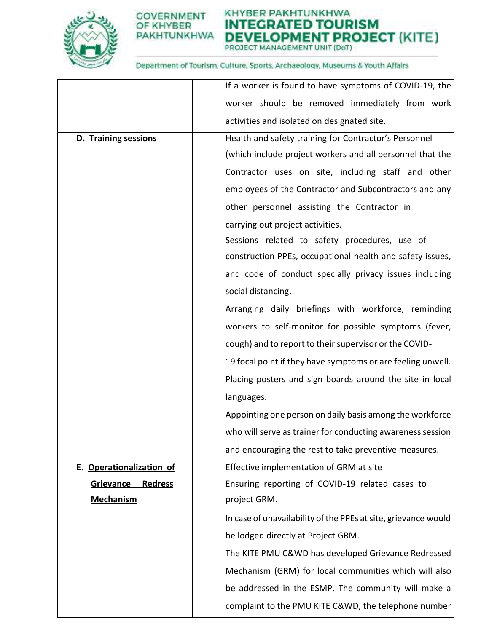

KHYBER PAKHTUNKHWA **INTEGRATED TOURISM DEVELOPMENT PROJECT (KITE)** 

|                                    | If a worker is found to have symptoms of COVID-19, the         |
|------------------------------------|----------------------------------------------------------------|
|                                    | worker should be removed immediately from work                 |
|                                    | activities and isolated on designated site.                    |
| D. Training sessions               | Health and safety training for Contractor's Personnel          |
|                                    | (which include project workers and all personnel that the      |
|                                    | Contractor uses on site, including staff and other             |
|                                    | employees of the Contractor and Subcontractors and any         |
|                                    | other personnel assisting the Contractor in                    |
|                                    | carrying out project activities.                               |
|                                    | Sessions related to safety procedures, use of                  |
|                                    | construction PPEs, occupational health and safety issues,      |
|                                    | and code of conduct specially privacy issues including         |
|                                    | social distancing.                                             |
|                                    | Arranging daily briefings with workforce, reminding            |
|                                    | workers to self-monitor for possible symptoms (fever,          |
|                                    | cough) and to report to their supervisor or the COVID-         |
|                                    | 19 focal point if they have symptoms or are feeling unwell.    |
|                                    | Placing posters and sign boards around the site in local       |
|                                    | languages.                                                     |
|                                    | Appointing one person on daily basis among the workforce       |
|                                    | who will serve as trainer for conducting awareness session     |
|                                    | and encouraging the rest to take preventive measures.          |
| E. Operationalization of           | Effective implementation of GRM at site                        |
| <b>Grievance</b><br><b>Redress</b> | Ensuring reporting of COVID-19 related cases to                |
| <b>Mechanism</b>                   | project GRM.                                                   |
|                                    | In case of unavailability of the PPEs at site, grievance would |
|                                    | be lodged directly at Project GRM.                             |
|                                    | The KITE PMU C&WD has developed Grievance Redressed            |
|                                    | Mechanism (GRM) for local communities which will also          |
|                                    | be addressed in the ESMP. The community will make a            |
|                                    | complaint to the PMU KITE C&WD, the telephone number           |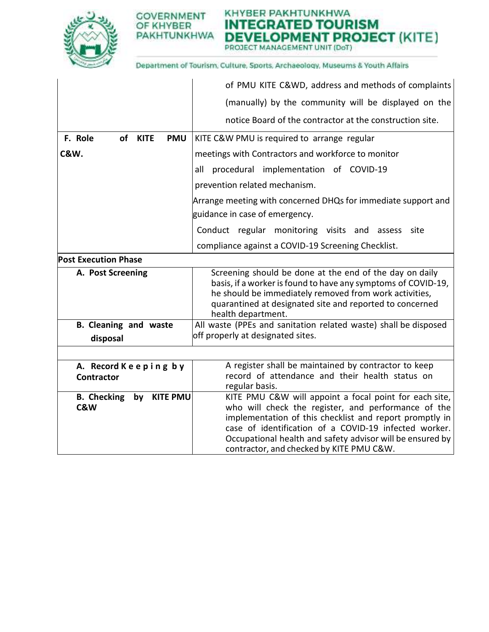

# KHYBER PAKHTUNKHWA **INTEGRATED TOURISM DEVELOPMENT PROJECT (KITE)**

|                                           | of PMU KITE C&WD, address and methods of complaints                                                                                                                                                                                                                                                                                        |  |
|-------------------------------------------|--------------------------------------------------------------------------------------------------------------------------------------------------------------------------------------------------------------------------------------------------------------------------------------------------------------------------------------------|--|
|                                           | (manually) by the community will be displayed on the                                                                                                                                                                                                                                                                                       |  |
|                                           | notice Board of the contractor at the construction site.                                                                                                                                                                                                                                                                                   |  |
| F. Role<br>of KITE<br><b>PMU</b>          | KITE C&W PMU is required to arrange regular                                                                                                                                                                                                                                                                                                |  |
| <b>C&amp;W.</b>                           | meetings with Contractors and workforce to monitor                                                                                                                                                                                                                                                                                         |  |
|                                           | all procedural implementation of COVID-19                                                                                                                                                                                                                                                                                                  |  |
|                                           | prevention related mechanism.                                                                                                                                                                                                                                                                                                              |  |
|                                           | Arrange meeting with concerned DHQs for immediate support and                                                                                                                                                                                                                                                                              |  |
|                                           | guidance in case of emergency.                                                                                                                                                                                                                                                                                                             |  |
|                                           | Conduct regular monitoring visits and assess site                                                                                                                                                                                                                                                                                          |  |
|                                           | compliance against a COVID-19 Screening Checklist.                                                                                                                                                                                                                                                                                         |  |
| <b>Post Execution Phase</b>               |                                                                                                                                                                                                                                                                                                                                            |  |
| A. Post Screening                         | Screening should be done at the end of the day on daily<br>basis, if a worker is found to have any symptoms of COVID-19,<br>he should be immediately removed from work activities,<br>quarantined at designated site and reported to concerned<br>health department.                                                                       |  |
| <b>B.</b> Cleaning and waste              | All waste (PPEs and sanitation related waste) shall be disposed                                                                                                                                                                                                                                                                            |  |
| disposal                                  | off properly at designated sites.                                                                                                                                                                                                                                                                                                          |  |
|                                           |                                                                                                                                                                                                                                                                                                                                            |  |
| A. Record Keeping by<br><b>Contractor</b> | A register shall be maintained by contractor to keep<br>record of attendance and their health status on<br>regular basis.                                                                                                                                                                                                                  |  |
| B. Checking by KITE PMU<br>C&W            | KITE PMU C&W will appoint a focal point for each site,<br>who will check the register, and performance of the<br>implementation of this checklist and report promptly in<br>case of identification of a COVID-19 infected worker.<br>Occupational health and safety advisor will be ensured by<br>contractor, and checked by KITE PMU C&W. |  |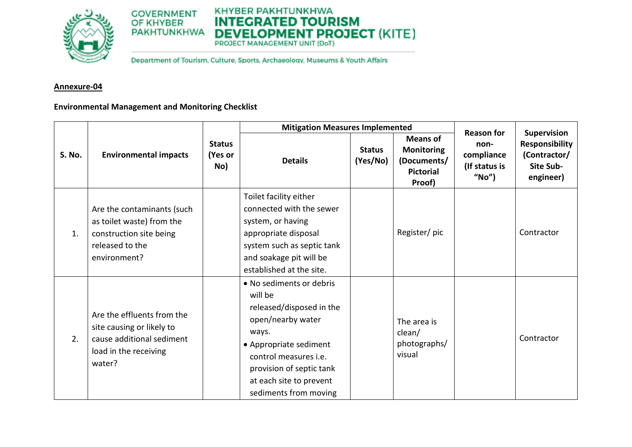

# KHYBER PAKHTUNKHWA **INTEGRATED TOURISM DEVELOPMENT PROJECT (KITE)**

Department of Tourism, Culture, Sports, Archaeology, Museums & Youth Affairs

# **Annexure-04**

# **Environmental Management and Monitoring Checklist**

|               |                                                                                                                         |                                 | <b>Mitigation Measures Implemented</b>                                                                                                                                                                                                  |                           |                                                                                   | <b>Reason for</b>                            | Supervision                                                            |
|---------------|-------------------------------------------------------------------------------------------------------------------------|---------------------------------|-----------------------------------------------------------------------------------------------------------------------------------------------------------------------------------------------------------------------------------------|---------------------------|-----------------------------------------------------------------------------------|----------------------------------------------|------------------------------------------------------------------------|
| <b>S. No.</b> | <b>Environmental impacts</b>                                                                                            | <b>Status</b><br>(Yes or<br>No) | <b>Details</b>                                                                                                                                                                                                                          | <b>Status</b><br>(Yes/No) | <b>Means of</b><br><b>Monitoring</b><br>(Documents/<br><b>Pictorial</b><br>Proof) | non-<br>compliance<br>(If status is<br>"No") | <b>Responsibility</b><br>(Contractor/<br><b>Site Sub-</b><br>engineer) |
| 1.            | Are the contaminants (such<br>as toilet waste) from the<br>construction site being<br>released to the<br>environment?   |                                 | Toilet facility either<br>connected with the sewer<br>system, or having<br>appropriate disposal<br>system such as septic tank<br>and soakage pit will be<br>established at the site.                                                    |                           | Register/pic                                                                      |                                              | Contractor                                                             |
| 2.            | Are the effluents from the<br>site causing or likely to<br>cause additional sediment<br>load in the receiving<br>water? |                                 | • No sediments or debris<br>will be<br>released/disposed in the<br>open/nearby water<br>ways.<br>• Appropriate sediment<br>control measures <i>i.e.</i><br>provision of septic tank<br>at each site to prevent<br>sediments from moving |                           | The area is<br>clean/<br>photographs/<br>visual                                   |                                              | Contractor                                                             |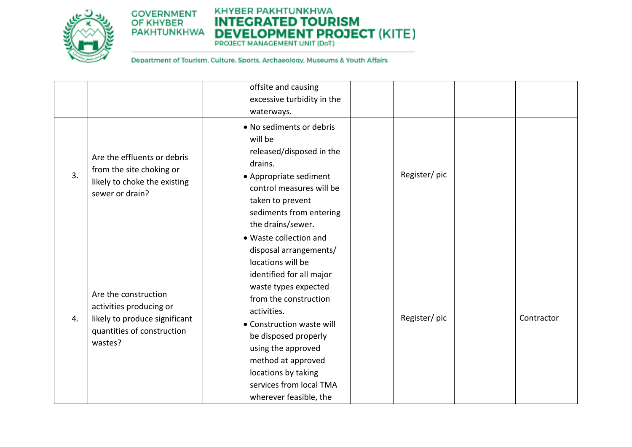

# KHYBER PAKHTUNKHWA **INTEGRATED TOURISM DEVELOPMENT PROJECT (KITE)**

|    |                                                                                                                           | offsite and causing<br>excessive turbidity in the<br>waterways.                                                                                                                                                                                                                                                                                |              |            |
|----|---------------------------------------------------------------------------------------------------------------------------|------------------------------------------------------------------------------------------------------------------------------------------------------------------------------------------------------------------------------------------------------------------------------------------------------------------------------------------------|--------------|------------|
| 3. | Are the effluents or debris<br>from the site choking or<br>likely to choke the existing<br>sewer or drain?                | • No sediments or debris<br>will be<br>released/disposed in the<br>drains.<br>• Appropriate sediment<br>control measures will be<br>taken to prevent<br>sediments from entering<br>the drains/sewer.                                                                                                                                           | Register/pic |            |
| 4. | Are the construction<br>activities producing or<br>likely to produce significant<br>quantities of construction<br>wastes? | • Waste collection and<br>disposal arrangements/<br>locations will be<br>identified for all major<br>waste types expected<br>from the construction<br>activities.<br>• Construction waste will<br>be disposed properly<br>using the approved<br>method at approved<br>locations by taking<br>services from local TMA<br>wherever feasible, the | Register/pic | Contractor |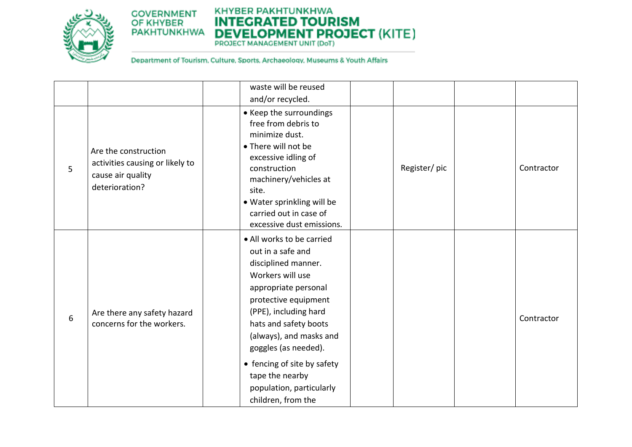

# KHYBER PAKHTUNKHWA **INTEGRATED TOURISM DEVELOPMENT PROJECT (KITE)**

PROJECT MANAGEMENT UNIT (DoT)

|   |                                                                                                | waste will be reused                                                                                                                                                                                                                                                                                                                               |              |            |
|---|------------------------------------------------------------------------------------------------|----------------------------------------------------------------------------------------------------------------------------------------------------------------------------------------------------------------------------------------------------------------------------------------------------------------------------------------------------|--------------|------------|
|   |                                                                                                | and/or recycled.                                                                                                                                                                                                                                                                                                                                   |              |            |
| 5 | Are the construction<br>activities causing or likely to<br>cause air quality<br>deterioration? | • Keep the surroundings<br>free from debris to<br>minimize dust.<br>• There will not be<br>excessive idling of<br>construction<br>machinery/vehicles at<br>site.<br>• Water sprinkling will be<br>carried out in case of<br>excessive dust emissions.                                                                                              | Register/pic | Contractor |
| 6 | Are there any safety hazard<br>concerns for the workers.                                       | • All works to be carried<br>out in a safe and<br>disciplined manner.<br>Workers will use<br>appropriate personal<br>protective equipment<br>(PPE), including hard<br>hats and safety boots<br>(always), and masks and<br>goggles (as needed).<br>• fencing of site by safety<br>tape the nearby<br>population, particularly<br>children, from the |              | Contractor |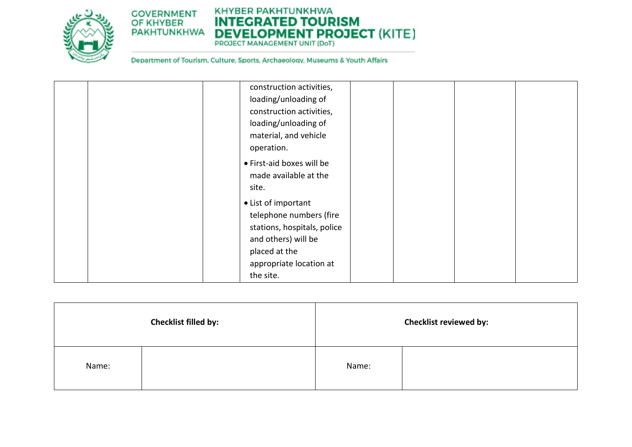

# KHYBER PAKHTUNKHWA **INTEGRATED TOURISM DEVELOPMENT PROJECT (KITE)**

| construction activities,                           |
|----------------------------------------------------|
| loading/unloading of                               |
| construction activities,                           |
| loading/unloading of                               |
| material, and vehicle                              |
| operation.                                         |
| • First-aid boxes will be<br>made available at the |
| site.                                              |
| • List of important<br>telephone numbers (fire     |
| stations, hospitals, police                        |
| and others) will be                                |
| placed at the                                      |
| appropriate location at                            |
| the site.                                          |

|       | Checklist filled by: |       | <b>Checklist reviewed by:</b> |
|-------|----------------------|-------|-------------------------------|
| Name: |                      | Name: |                               |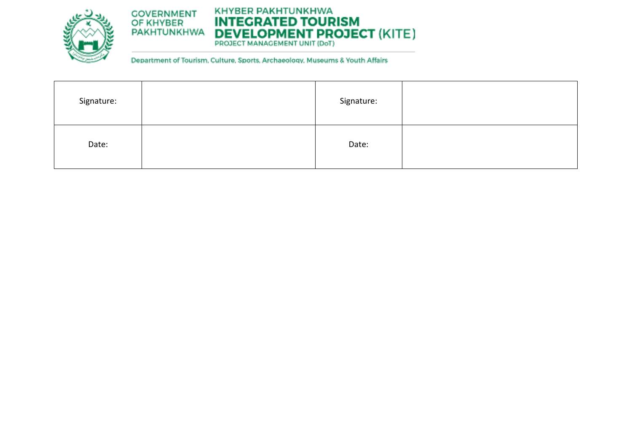

# KHYBER PAKHTUNKHWA **INTEGRATED TOURISM DEVELOPMENT PROJECT (KITE)**

| Signature: | Signature: |  |
|------------|------------|--|
| Date:      | Date:      |  |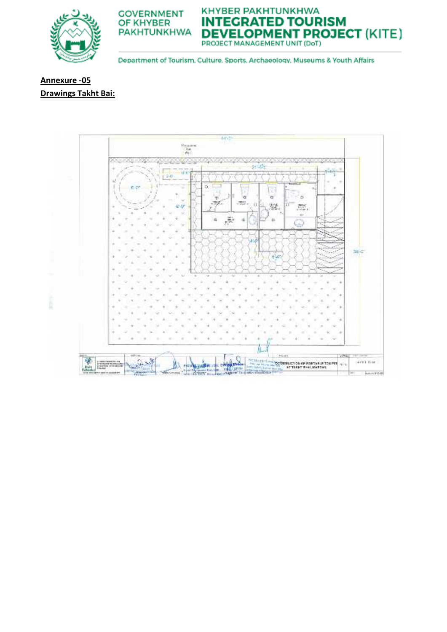





Department of Tourism, Culture, Sports, Archaeology, Museums & Youth Affairs

# Annexure - 05 **Drawings Takht Bai:**

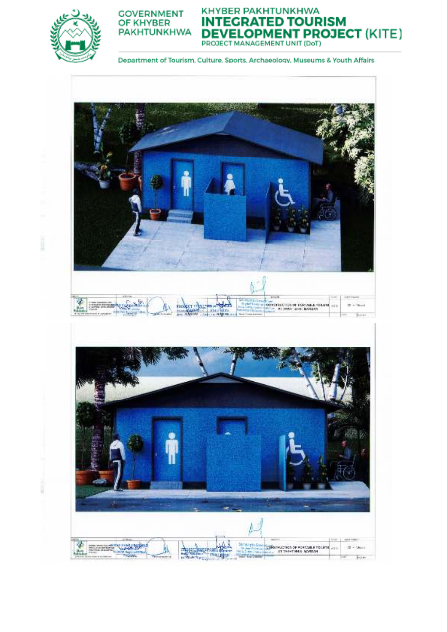

I

I



KHYBER PAKHTUNKHWA **INTEGRATED TOURISM DEVELOPMENT PROJECT (KITE)**<br>PROJECT MANAGEMENT UNIT (DoT)

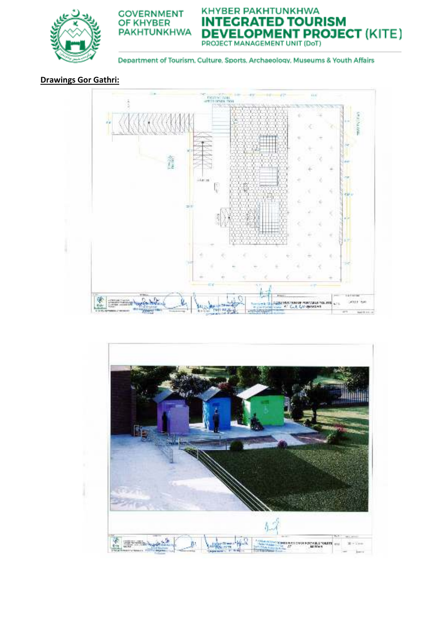

**DEVELOPMENT PROJECT (KITE)** 

**NTEGRATED TOURISM** 

Department of Tourism, Culture, Sports, Archaeology, Museums & Youth Affairs

IN

KHYBER PAKHTUNKHWA

# **Drawings Gor Gathri:**



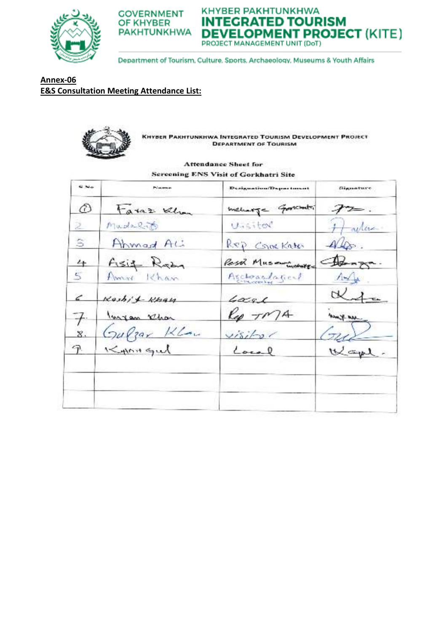



KHYBER PAKHTUNKHWA **INTEGRATED TOURISM DEVELOPMENT PROJECT (KITE)** PROJECT MANAGEMENT UNIT (DoT)

Department of Tourism, Culture, Sports, Archaeology, Museums & Youth Affairs

**Annex-06 E&S Consultation Meeting Attendance List:** 



**KHYBER PAKHTUNKHWA INTEGRATED TOURISM DEVELOPMENT PROJECT DEPARTMENT OF TOURISM** 

#### **Attendance Sheet for Sereening ENS Visit of Gorkhatri Site**

| <b>SC No.</b>  | Policement   | Designation/Department | Gigarature                    |
|----------------|--------------|------------------------|-------------------------------|
| $\varnothing$  | Faxaz Khan   | memory - Governori     |                               |
| 2              | Mudelet      | Unsited                | $+$ actor                     |
| S              | Ahmad AL     | Rep Crockates          | $A\rightarrow$ .              |
| $4 +$          | Asif Ram     | Past Museumontes       | $\bigoplus_{n\geq n}$         |
| Ė,             | Amme Khan    | Acchearlaged           | $\Lambda \rightarrow \Lambda$ |
| i              | Kashi & Khau | $4x$ ge                | Kita                          |
|                | Ingen Ehr    | $k_{\varphi}$ $T/M$    | - we know                     |
| $\mathbf{z}$ . | Gulgar Klau  | visi                   | $\left( \frac{1}{2} \right)$  |
| F.             | Kynngul      | Local                  | Wape.                         |
|                |              |                        |                               |
|                |              |                        |                               |
|                |              |                        |                               |